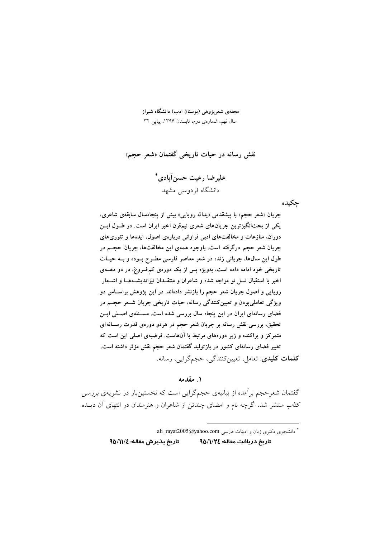مجلهی شعریژوهی (بوستان ادب) دانشگاه شیراز سال نهم، شمارهی دوم، تابستان ۱۳۹۶، پیاپی ۳۲

نقش رسانه در حیات تاریخی گفتمان «شعر حجم»

عليرضا رعيت حسن آبادي\* دانشگاه فردوسی مشهد

چکیده

جریان «شعر حجم» با پیشقدمی «یدالله روپایی» بیش از پنجاهسال سابقهی شاعری، یکی از بحثانگیزترین جریانهای شعری نیمقرن اخیر ایران است. در طــول ایــن دوران، منازعات و مخالفتهای ادبی فراوانی دربارهی اصول، ایدهها و تئوریهای جریان شعر حجم درگرفته است. باوجود همهی این مخالفتها، جریان حجــم در طول این سالها، جریانی زنده در شعر معاصر فارسی مطـرح بـوده و بـه حیـات تاریخی خود ادامه داده است، بهویژه پس از یک دورهی کم فورغ، در دو دهـهی اخیر با استقبال نسل نو مواجه شده و شاعران و منتقـدان نیزاندیشــههـا و اشــعار روپایی و اصول جریان شعر حجم را بازنشر دادهاند. در این پژوهش براسـاس دو ویژگی تعاملی بودن و تعیین کنندگی رسانه، حیات تاریخی جریان شـعر حجــم در فضای رسانهای ایران در این پنجاه سال بررسی شده است. مسـئلهی اصـلی ایــن تحقیق، بررسی نقش رسانه بر جریان شعر حجم در هردو دورهی قدرت رســانه۱ی متمرکز و پراکنده و زیر دورههای مرتبط با آنهاست. فرضیهی اصلی این است که تغییر فضای رسانهای کشور در بازتولید گفتمان شعر حجم نقش مؤثر داشته است. <mark>كلمات كليدي</mark>: تعامل، تعيين كنندگي، حجمگرايي، رسانه.

۱. مقدمه

گفتمان شعرحجم برآمده از بیانیهی حجمگرایی است که نخستینبار در نشریهی *بررسی* كتاب منتشر شد. اگرچه نام و امضاى چندتن از شاعران و هنرمندان در انتهاى آن ديـده

\* دانشجوی دکتری زبان و ادبیّات فارسی ali\_rayat2005@yahoo.com

تاريخ پذيرش مقاله: ١١/٤/٩٥ تاريخ دريافت مقاله: ١/١/٢٤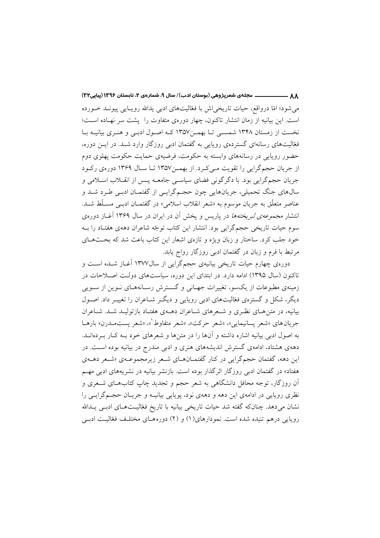ــــ مجلهی شعرپژوهی (بوستان ادب)/ سال ۹، شمارهی ۲، تابستان ۱۳۹۶ (پیاپی۳۲)  $\overline{\phantom{a}}$ می شود؛ امّا درواقع، حیات تاریخی اش یا فعّالیتهای ادبی پدالله روپیایی پیونید خیورده است. این بیانیه از زمان انتشار تاکنون، چهار دورهی متفاوت را پشت سر نهـاده اسـت؛ نخست از زمستان ۱۳۴۸ شمسی تـا بهمـن١٣۵٧ کـه اصـول ادبـی و هنـری بیانیـه بـا فغالیتهای رسانهای گستردهی رویایی به گفتمان ادبی روزگار وارد شـد. در ایـن دوره، حضور رویایی در رسانههای وابسته به حکومت، فرضیهی حمایت حکومت پهلوی دوم از جریان حجمگرایی را تقویت مـی کـرد. از بهمـن۱۳۵۷ تـا سـال ۱۳۶۹ دورهی رکـود جريان حجم گرايي بود. با دگر گوني فضاي سياسي جامعــه پــس از انقــلاب اســلامي و سالهای جنگ تحمیلی، جریانهایی چون حجمگرایـی از گفتمـان ادبـی طـرد شــد و عناصر متعلّق به جريان موسوم به «شعر انقلاب اسلامي» در گفتمـان ادبـي مسـلّط شــد. انتشار *مجموعهی لبریختهها* در پاریس و پخش آن در ایران در سال ۱۳۶۹ آغــاز دورهی سوم حیات تاریخی حجمگرایی بود. انتشار این کتاب توجّه شاعران دههی هفتـاد را بــه خود جلب کرد. ساختار و زبان ویژه و تازهی اشعار این کتاب باعث شد که بحثهـای مرتبط با فرم و زبان در گفتمان ادبی روزگار رواج یابد.

دورهی چهارم حیات تاریخی بیانیهی حجمگرایی از سال۱۳۷۷ آغــاز شــده اســت و تاکنون (سال ۱۳۹۵) ادامه دارد. در ابتدای این دوره، سیاستهای دولت اصلاحات در زمینهی مطبوعات از یکسو، تغییرات جهـانی و گسـترش رسـانههـای نـوین از سـویی دیگر، شکل و گسترهی فغالیتهای ادبی رویایی و دیگ شـاعران را تغییـر داد. اصـول بیانیه، در متن هـای نظـری و شـعرهای شـاعران دهـهی هفتـاد بازتولیـد شـد. شـاعران جريان هاي «شعر يسانيمايي»، «شعر حركت»، «شعر متفاوط"»، «شعر يستمــدرن» بارهــا به اصول ادبی بیانیه اشاره داشته و آنها را در متنها و شعرهای خود بـه کـار بـردهانــد. دههی هشتاد، ادامهی گسترش اندیشههای هنری و ادبی مندرج در بیانیه بوده است. در این دهه، گفتمان حجمگرایی در کنار گفتمـانهـای شـعر زیرمجموعـهی «شـعر دهـهی هفتاد» در گفتمان ادبی روزگار اثرگذار بوده است. بازنشر بیانیه در نشریههای ادبی مهم آن روزگار، توجه محافل دانشگاهی به شعر حجم و تجدید چاپ کتابهـای شـعری و نظری رویایی در ادامهی این دهه و دههی نود، پویایی بیانیــه و جریــان حجــمگرایــی را نشان میدهد. چنانکه گفته شد حیات تاریخی بیانیه با تاریخ فغالیـتهـای ادبـی پـدالله روپایی درهم تنیده شده است. نمودارهای(۱) و (۲) دورههـای مختلـف فعّالیـت ادبـی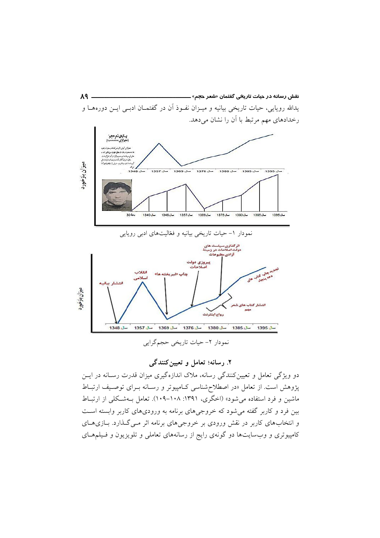

# ۲. رسانه؛ تعامل و تعیین کنندگی

دو ویژگی تعامل و تعیینکنندگی رسانه، ملاک اندازهگیری میزان قدرت رسـانه در ایــن پژوهش است. از تعامل «در اصطلاح شناسی کـامپیوتر و رسـانه بـرای توصـیف ارتبـاط ماشین و فرد استفاده میشود» (اخگری، ۱۳۹۱: ۱۰۸–۱۰۹). تعامل بـهشـکلی از ارتبـاط بین فرد و کاربر گفته می شود که خروجیهای برنامه به ورودیهای کاربر وابسته است و انتخاب های کاربر در نقش ورودی بر خروجی های برنامه اثر مـی گـذارد. بـازی هـای کامپیوتری و وبسایتها دو گونهی رایج از رسانههای تعاملی و تلویزیون و فـیلمهـای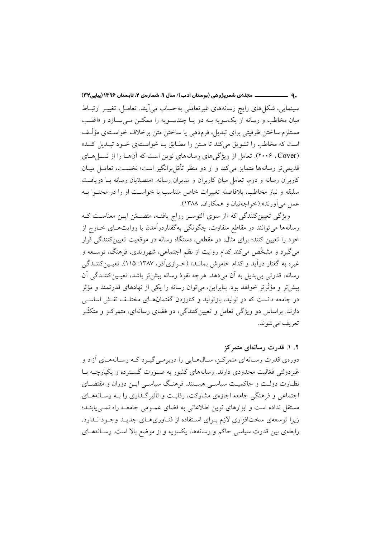ـ9 \_\_\_\_\_\_\_\_\_\_\_\_\_ مجلهي شعرپژوهي (بوستان ادب)/ سال ۹، شمارهي ۲، تابستان ۱۳۹۶ (پیاپی۲۳) سینمایی، شکل های رایج رسانههای غیر تعاملی بهحساب می آیند. تعامـل، تغییـر ارتبــاط میان مخاطب و رسانه از یکسویه بـه دو یـا چندسـویه را ممکـن مـیسـازد و «اغلـب مستلزم ساختن ظرفيتي براي تبديل، فرم‹هي يا ساختن متن برخلاف خواسـتهي مؤلَّـف است که مخاطب را تشویق می کند تا مـتن را مطـابق بـا خواسـتهی خـود تبـدیل کنـد» (Cover). ۲۰۰۶). تعامل از ویژگیهای رسانههای نوین است که آنها را از نسل های قدیمی تر رسانهها متمایز می کند و از دو منظر تأمّل برانگیز است؛ نخسـت، تعامـل میــان کاربران رسانه و دوم، تعامل میان کاربران و مدیران رسانه. «متصدّیان رسانه بـا دریافـت سليقه و نياز مخاطب، بلافاصله تغييرات خاص متناسب با خواسـت او را در محتـوا بــه عمل مي آورند» (خواجهنيان و همكاران، ١٣٨٨).

ویژگی تعیین کنندگی که «از سوی التوسر رواج یافتـه، متضـمّن ایـن معناسـت کـه رسانهها مي توانند در مقاطع متفاوت، چگونگي بهگفتاردرآمدن يا روايتهـاي خــارج از خود را تعیین کنند؛ برای مثال، در مقطعی، دستگاه رسانه در موقعیت تعیین کنندگی قرار می گیرد و مشخّص می کند کدام روایت از نظم اجتماعی، شهروندی، فرهنگ، توسـعه و غیره به گفتار درآید و کدام خاموش بمانــد» (خــرازیآذر، ۱۳۸۷: ۱۱۵). تعیــین کننــدگی رسانه، قدرتی بی بدیل به آن می دهد. هرچه نفوذ رسانه بیش تر باشد، تعیین کننـدگی آن بیش تر و مؤثّر تر خواهد بود. بنابراین، می توان رسانه را یکی از نهادهای قدرتمند و مؤثر در جامعه دانست که در تولید، بازتولید و کنارزدن گفتمانهـای مختلـف نقـش اساســی دارند. براساس دو ویژگی تعامل و تعیین کنندگی، دو فضای رسانهای، متمرکـز و متکنّـر تعريف مي شوند.

۲. ۱. قدرت رسانهای متمرکز دوروی قدرت رسـانهای متمرکـز، سـال۱هـایی را دریرمـی گیـرد کـه رسـانههـای آزاد و غیردولتی فغالیت محدودی دارند. رسانههای کشور به صـورت گسـترده و یکپارچــه بــا نظـارت دولـت و حاکمیـت سیاسـی هسـتند. فرهنـگ سیاسـی ایــن دوران و مقتضــای اجتماعی و فرهنگی جامعه اجازهی مشارکت، رقابت و تأثیر گـذاری را بـه رسـانههـای مستقل نداده است و ابزارهای نوین اطلاعاتی به فضای عمـومی جامعـه راه نمـیbیابنـد؛ زیرا توسعهی سختافزاری لازم بـرای اسـتفاده از فنـاوریهـای جدیـد وجـود نـدارد. رابطهی بین قدرت سیاسی حاکم و رسانهها، یکسویه و از موضع بالا است. رسـانههـای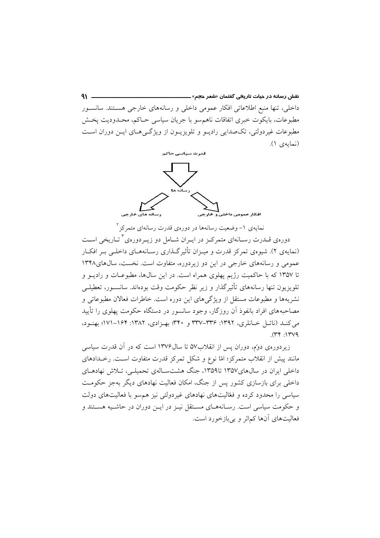نقش رسانه در حیات تاری<del>خ</del>ی گفتمان «شعر ح<del>ج</del>م» ـــــ  $91 -$ داخلی، تنها منبع اطلاعاتی افکار عمومی داخلی و رسانههای خارجی هسـتند. سانســور مطبوعات، بایکوت خبری اتفاقات ناهم سو با جریان سیاسی حـاکم، محـدودیت پخـش مطبوعات غیردولتی، تکصدایی رادیــو و تلویزیــون از ویژگــیهــای ایــن دوران اســت (نمايەي ١).



نمایهی ۱– وضعیت رسانهها در دورهی قدرت رسانهای متمرکز <sup>۲</sup> دورهی قــدرت رســانهای متمرکــز در ایــران شــامل دو زیــردورهی<sup>۲</sup>تــاریخی اســت (نمایهی ۲). شیوهی تمرکز قدرت و میـزان تأثیرگـذاری رسـانههـای داخلـی بـر افکـار عمومی و رسانههای خارجی در این دو زیردوره، متفاوت است. نخست، سالهای۱۳۴۸ تا ۱۳۵۷ که با حاکمیت رژیم پهلوی همراه است. در این سالها، مطبوعـات و رادیــو و تلویزیون تنها رسانههای تأثیرگذار و زیر نظر حکومت وقت بودهاند. سانسـور، تعطیلــی نشریهها و مطبوعات مستقل از ویژگی های این دوره است. خاطرات فعالان مطبوعاتی و مصاحبههای افراد بانفوذ آن روزگار، وجود سانسور در دستگاه حکومت یهلوی را تأیید می کنـد (ناتـل خـانلری، ۱۳۹۲: ۳۳۶–۳۳۷ و ۳۴۰: بهـزادی، ۱۳۸۲: ۱۶۴–۱۷۱؛ بهنـود،  $(\Upsilon \Upsilon + 1) \Upsilon \vee 9$ 

زیردورهی دوّم، دوران پس از انقلاب۵۷ تا سال۱۳۷۶ است که در آن قدرت سیاسی مانند پیش از انقلاب متمرکز؛ امّا نوع و شکل تمرکز قدرت متفاوت است. رخـدادهای داخلی ایران در سالهای۱۳۵۷ تا۱۳۵۹، جنگ هشتسـالهی تحمیلـی، تـلاش نهادهـای داخلی برای بازسازی کشور پس از جنگ، امکان فعالیت نهادهای دیگر بهجز حکومت سیاسی را محدود کرده و فعّالیتهای نهادهای غیردولتی نیز هم سو با فعالیتهای دولت و حکومت سیاسی است. رسـانههـای مسـتقل نیـز در ایـن دوران در حاشـیه هسـتند و فعالیتهای آنها کماثر و بی بازخورد است.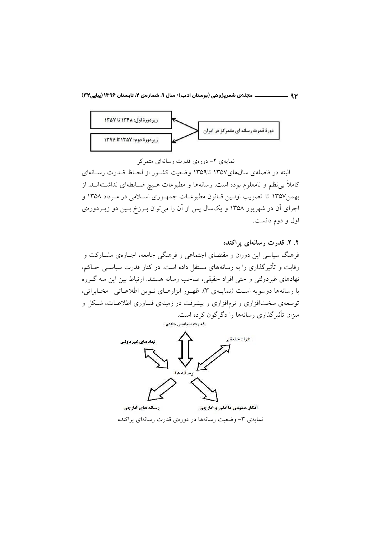

نمایهی ۲– دورهی قدرت رسانهای متمرکز

البته در فاصلهی سالهای۱۳۵۷ تا۱۳۵۹ وضعیت کشور از لحـاظ قــدرت رسـانهای کاملاً بی نظم و نامعلوم بوده است. رسانهها و مطبوعات هـیچ ضــابطهای نداشــتهانــد. از بهمن١٣٥٧ تا تصويب اولين قـانون مطبوعـات جمهـوري اسـلامي در مـرداد ١٣٥٨ و اجرای آن در شهریور ۱۳۵۸ و یکسال پس از آن را می توان بـرزخ بـین دو زیـردورهی اول و دوم دانست.

۲. ۲. قدرت رسانهای پراکنده فرهنگ سیاسی این دوران و مقتضای اجتماعی و فرهنگی جامعه، اجــازهی مشــارکت و رقابت و تأثیرگذاری را به رسانههای مستقل داده است. در کنار قدرت سیاســی حــاکم، نهادهای غیردولتی و حتی افراد حقیقی، صاحب رسانه هستند. ارتباط بین این سه گـروه با رسانهها دوسویه است (نمایـهی ۳). ظهـور ابزارهـای نـوین اطّلاعـاتی- مخـابراتی، توسعهی سختافزاری و نرمافزاری و پیشرفت در زمینهی فنـاوری اطلاعـات، شـكل و میزان تأثیر گذاری رسانهها را دگرگون کرده است. قدرت سياسي حاكم



نمایهی ۳- وضعیت رسانهها در دورهی قدرت رسانهای پراکنده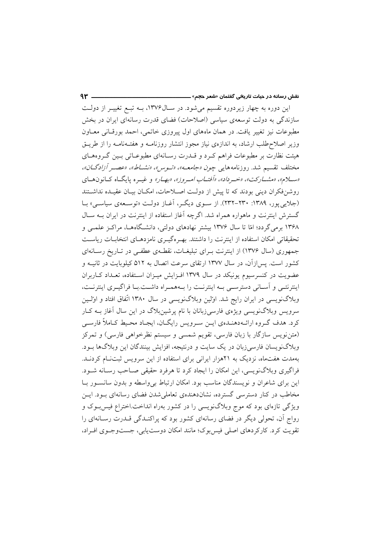این دوره به چهار زیردوره تقسیم میشود. در سـال۱۳۷۶، بــه تبــع تغییــر از دولــت سازندگی به دولت توسعهی سیاسی (اصلاحات) فضای قدرت رسانهای ایران در بخش مطبوعات نیز تغییر یافت. در همان ماههای اول پیروزی خاتمی، احمد بورقـانی معــاون وزیر اصلاح طلب ارشاد، به اندازهی نیاز مجوز انتشار روزنامــه و هفتــهنامــه را از طریــق هیئت نظارت بر مطبوعات فراهم کـرد و قــدرت رسـانهای مطبوعــاتی بــین گــروههــای مختلف تقسيم شد. روزنامه هاي<sub>مي</sub> چ*ون «جامعـه»، «تـوس»، «نشــاط»، «عصــر أزادگــان»،* «سلام»، «مشاركت»، «خسرداد»، «أفتياب اميروز»، «بهيار» و غييره پايگاه كيانون هياي روشنفكران ديني بودند كه تا پيش از دولت اصلاحات، امكـان بيـان عقيـده نداشـتند (جلایی پور، ۱۳۸۹: ۲۳۰-۲۳۲). از سوی دیگر، آغـاز دولـت «توسـعهی سیاسـی» بـا گسترش اینترنت و ماهواره همراه شد. اگرچه آغاز استفاده از اینترنت در ایران بـه سـال ۱۳۶۸ برمی گردد؛ امّا تا سال ۱۳۷۶ بیشتر نهادهای دولتی، دانشگاههـا، مراکـز علمـی و تحقیقاتی امکان استفاده از اینترنت را داشتند. بهـرهگیـری نامزدهـای انتخابــات ریاســت جمهوری (سال ۱۳۷۶) از اینترنت بهرای تبلیغیات، نقطهی عطفی در تباریخ رسانهای کشور است. پس|زآن، در سال ۱۳۷۷ ارتقای سرعت اتصال به ۵۱۲ کیلوبایت در ثانیــه و عضویت در کنسرسیوم یونیکد در سال ۱۳۷۹ افـزایش میـزان اسـتفاده، تعـداد کـاربران اینترنتــی و آسـانی دسترســی بــه اینترنــت را بــههمــراه داشــت.بـا فراگیــری اینترنــت، وبلاگنویسی در ایران رایج شد. اولین وبلاگنویسی در سال ۱۳۸۰ اتّفاق افتاد و اولـین سرویس وبلاگنویسی ویژهی فارسیزبانان با نام پرشینبلاگ در این سال آغاز بـه کـار كرد. هدف گـروه ارائـهدهنـدهي ايــن سـرويس رايگــان، ايجـاد محـيط كـاملاً فارســي (متن نویس سازگار با زبان فارسی، تقویم شمسی و سیستم نظرخواهی فارسی) و تمرکز وبلاگنویسان فارسیزبان در یک سایت و درنتیجه، افزایش بینندگان این وبلاگها بـود. بهمدت هفتماه، نزدیک به ۲۱هزار ایرانی برای استفاده از این سرویس ثبتنام کردنـد. فراگیری وبلاگنویسی، این امکان را ایجاد کرد تا هرفرد حقیقی صـاحب رسـانه شـود. این برای شاعران و نویسندگان مناسب بود. امکان ارتباط بی واسطه و بدون سانسور با مخاطب در کنار دسترسی گسترده، نشاندهندهی تعاملی شدن فضای رسانهای بود. ایــن ویژگی تازهای بود که موج وبلاگنویسی را در کشور بهراه انداخت.اختراع فیس بوک و رواج آن، تحولی دیگر در فضای رسانهای کشور بود که پراکنـدگی قـدرت رسـانهای را تقويت كرد. كاركردهاي اصلي فيس بوك؛ مانند امكان دوست يابي، جست وجـوى افـراد،

 $4r -$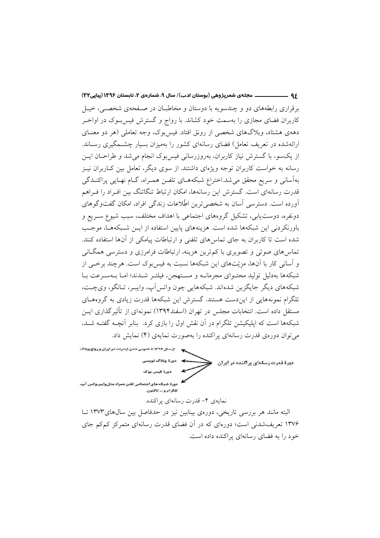۹۶ ـــــــــــــــــــــ مجلهي شعرپژوهي (بوستان ادب)/ سال ۹، شمارهي ۲، تابستان ۱۳۹۶ (پیاپی۳۲) برقراری رابطههای دو و چندسویه با دوستان و مخاطبان در صنفحهی شخصی، خیبل کاربران فضای مجازی را بهسمت خود کشاند. با رواج و گسترش فیس بوک در اواخـر دههی هشتاد، وبلاگهای شخصی از رونق افتاد. فیس بوک، وجه تعاملی (هر دو معنــای ارائهشده در تعریف تعامل) فضای رسانهای کشور را بهمیزان بسیار چشــمگیری رســاند. از یکسو، با گسترش نیاز کاربران، بهروزرسانی فیس بوک انجام می شد و طراحـان ایــن رسانه به خواست کاربران توجه ویژهای داشتند. از سوی دیگر، تعامل بین کـاربران نیـز بهآسانی و سریع محقق می شد.اختراع شبکههـای تلفـن همـراه، گـام نهـایی پراکنـدگی قدرت رسانهای است. گسترش این رسانهها، امکان ارتباط تنگاتنگ بین افـراد را فـراهم آورده است. دسترسی آسان به شخصی ترین اطّلاعات زندگی افراد، امکان گفتوگوهای دونفره، دوست یابی، تشکیل گروههای اجتماعی با اهداف مختلف، سبب شیوع سـریع و باورنکردنی این شبکهها شده است. هزینههای پایین استفاده از ایــن شــبکههـا، موجـب شده است تا کاربران به جای تماس های تلفنی و ارتباطات پیامکی از آنها استفاده کنند. تماس های صوتی و تصویری با کم ترین هزینه، ارتباطات فرامرزی و دسترسی همگــانی و آسانی کار با آنها، مزیّتهای این شبکهها نسبت به فیس بوک است. هرچند برخبی از شبکهها بهدلیل تولید محتـوای مجرمانــه و مســتهجن، فیلتـر شــدند؛ امــا بــهسـرعت بــا شبکههای دیگر جایگزین شدهاند. شبکههایی چون واتس آپ، وایبر، تـانگو، ویچـت، تلگرام نمونههایی از این دست هستند. گسترش این شبکهها قدرت زیادی به گروههـای مستقل داده است. انتخابات مجلس در تهران (اسفند۱۳۹۴) نمونهای از تأثیر گذاری ایــن شبکهها است که ایلیکیشن تلگرام در آن نقش اول را بازی کرد. بنابر آنچــه گفتــه شــد، می توان دوروی قدرت رسانهای پراکنده را بهصورت نمایهی (۴) نمایش داد.



نمایهی ۴– قدرت رسانهای پراکنده.

البته مانند هر بررسی تاریخی، دورهی بینابین نیز در حدفاصل بین سالهای ۱۳۷۳ تـا ۱۳۷۶ تعریفشدنی است؛ دورهای که در آن فضای قدرت رسانهای متمرکز کمکم جای خود را به فضای رسانهای پراکنده داده است.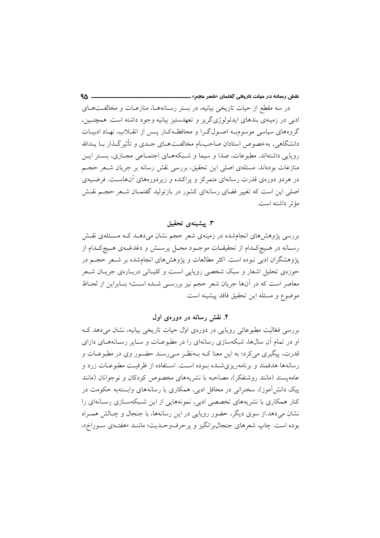در سه مقطع از حیات تاریخی بیانیه، در بستر رسـانههـا، منازعـات و مخالفـتهـای ادبی در زمینهی بندهای ایدئولوژیگریز و تعهدستیز بیانیه وجود داشته است. همچنـین، گروههای سیاسی موسوم به اصول گـرا و محافظـهکـار پـس از انقــلاب، نهـاد ادبیـات دانشگاهی، بهخصوص استادان صاحب نام مخالفت هــای جــدی و تأثیر گــذار بــا يــدالله روپایی داشتهاند. مطبوعات، صدا و سیما و شـبکههـای اجتمـاعی مجـازی، بسـتر ایـن منازعات بودهاند. مسئلهی اصلی این تحقیق، بررسی نقش رسانه بر جریان شـعر حجـم در هردو دورهی قدرت رسانهای متمرکز و پراکنده و زیردورههای آنهاست. فرضیهی اصلی این است که تغییر فضای رسانهای کشور در بازتولید گفتمـان شـعر حجـم نقـش مؤثر داشته است.

## ۳. ييشينه ي تحقيق

بررسی پژوهشهای انجامشده در زمینهی شعر حجم نشان میدهـد کـه مسـئلهی نقـش رسـانه در هـيچکـدام از تحقيقــات موجــود محــل پرســش و دغدغــهى هــيچکـدام از پژوهشگران ادبی نبوده است. اکثر مطالعات و پژوهشهای انجامشده بر شـعر حجـم در حوزهي تحليل اشعار و سبک شخصي رويايي است و کليـاتي دربـارهي جريـان شــعر معاصر است كه در آنها جريان شعر حجم نيز بررسـي شـده اسـت؛ بنـابراين از لحـاظ موضوع و مسئله اين تحقيق فاقد ييشينه است.

۴. نقش رسانه در دورهی اول

بررسی فغالیت مطبوعاتی رویایی در دورهی اول حیات تاریخی بیانیه، نشان میدهد ک او در تمام آن سالها، شبکهسازی رسانهای را در مطبوعـات و سـایر رسـانههـای دارای قدرت، پیگیری میکرد؛ به این معنا کــه بــهنظـر مــی(ســد حضــور وی در مطبوعــات و رسانهها هدفمند و برنامهریزی شـده بـوده اسـت. اسـتفاده از ظرفیـت مطبوعـات زرد و عامه يسند (مانند روشنفكر)، مصاحبه با نشريههاي مخصوص كودكان و نوجوانان (مانند پیک دانش آموز)، سخنرانی در محافل ادبی، همکاری با رسانههای وابستهبه حکومت در کنار همکاری با نشریههای تخصصی ادبی، نمونههایی از این شبیکهسپازی رسپانهای را نشان می،دهد.از سوی دیگر، حضور روپایی در این رسانهها، با جنجال و چـالش همـراه بوده است. چاپ شعرهاي جنجالبرانگيز و پرحرفوسك يث؛ ماننـد «هفتـهي سـوراخ»،

 $90 -$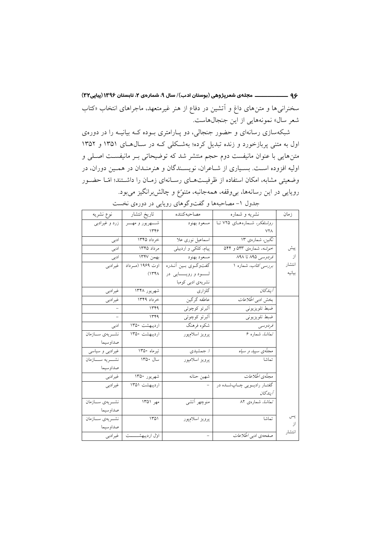۹۶ ــــــــــــــــــــــــــ مجلهي شعرپژوهي (بوستان ادب)/ سال ۹، شمارهي ۲، تابستان ۱۳۹۶ (پیاپی۲۲) سخنرانی ها و متن های داغ و اّتشین در دفاع از هنر غیرمتعهد، ماجراهای انتخاب «کتاب شعر سال» نمونههایی از این جنجالهاست.

شبکهسازی رسانهای و حضور جنجالی، دو پـارامتری بـوده کـه بیانیـه را در دورهی اول به متنی پربازخورد و زنده تبدیل کرده؛ بهشکلی کـه در سـال(هـای ۱۳۵۱ و ۱۳۵۲ متنهایی با عنوان مانیفست دوم حجم منتشر شد که توضیحاتی بـر مانیفسـت اصـلی و اولیه افزوده است. بسیاری از شـاعران، نویسـندگان و هنرمنـدان در همـین دوران، در وضعيتي مشابه، امكان استفاده از ظرفيتهاي رسـانهاي زمـان را داشـتند؛ امّـا حضـور رویایی در این رسانهها، بی وقفه، همهجانبه، متنوّع و چالش برانگیز می بود.

| نوع نشريه                | تاريخ انتشار          | مصاحبه كننده           | نشریه و شماره                       | زمان   |
|--------------------------|-----------------------|------------------------|-------------------------------------|--------|
| زرد و غیرادبی            | شــــهريور و مهـــــر | مسعود بهنود            | ر <i>وشنفکر،</i> شـمارههـای ۷۲۵ تـا |        |
|                          | ۱۳۴۶                  |                        | ۷۲۸                                 |        |
| ادبی                     | خرداد ۱۳۴۵            | اسماعیل نوری علا       | نگیز، شمارهی ۱۳                     |        |
| ادبی                     | مر داد ۱۳۴۵           | پیام، کلکی و اردبیلی   | خوشه، شمارهی ۵۴۳ و ۵۴۴              | پیش    |
| ادبى                     | بهمن ١٣۴٧             | مسعود بهنود            | قر <i>دوسی</i> ۸۹۵ تا ۸۹۸           | از     |
| غيرادبي                  | اوت ۱۹۶۹ (مهرداد      | گفتوگـوي بـين أنــدره  | بررسی کتاب، شماره ۱                 | انتشار |
|                          | (144)                 | لـــود و رويــــايى در |                                     | بيانيه |
|                          |                       | نشریهی ادبی کومبا      |                                     |        |
| غيرادبي                  | شهريور ۱۳۴۸           | گلز ار ی               | اً يند گان                          |        |
| غيرادبي                  | خرداد ۱۳۴۹            | عاطفه گرگین            | بخش ادبی <i>اطّلاعات</i>            |        |
|                          | 1549                  | ألبرتو كوچوئي          | ضبط تلويزيوني                       |        |
| $\overline{\phantom{0}}$ | ۱۳۴۹                  | ألبرتو كوچوئي          | ضبط تلويزيوني                       |        |
| ادبی                     | ارديبهشت ١٣٥٠         | شکوه فرهنگ             | فردوسي                              |        |
| نشريهي سازمان            | ارديبهشت ١٣۵٠         | پرويز اسلامپور         | تم <i>اشا،</i> شماره ۶              |        |
| صداوسيما                 |                       |                        |                                     |        |
| غیرادبی و سیاسی          | تیرماه ۱۳۵۰           | ا. جمشیدی              | مجلّەي <i>سىپيد و سياه</i>          |        |
|                          | سال ۱۳۵۰              | پرويز اسلامپور         | تماشا                               |        |
| صداوسيما                 |                       |                        |                                     |        |
| غيرادبي                  | شهريور ١٣۵٠           | شهين حنانه             | مجلّدي اطّلاعات                     |        |
| غيرادبي                  | اردیبهشت ۱۳۵۱         |                        | گفتــار راديــويي چــاپشــده در     |        |
|                          |                       |                        | آ پند گان                           |        |
| نشمريهي سمازمان          | مهر ۱۳۵۱              | منوچهر أتشى            | <i>تماشا، شمارەي ۸۲</i>             |        |
| صداوسيما                 |                       |                        |                                     |        |
| نشمريهي سازمان           | ۱۳۵۱                  | پرويز اسلامپور         | تماشا                               | پس     |
| صداو سيما                |                       |                        |                                     | از     |
| غيرادبي                  | اول اردیبهشــــــت    | $\equiv$               | صفحهی ادبی <i>اطّلاعات</i>          | انتشار |

جدول ۱– مصاحبهها و گفتوگوهای رویایی در دورهی نخست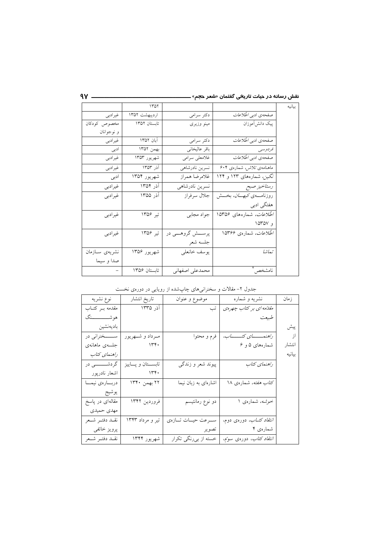| بيانيه |                                                    |                     | ١٣٥٢          |                |
|--------|----------------------------------------------------|---------------------|---------------|----------------|
|        | صفحهی ادبی <i>اطّلاعات</i>                         | دکتر سرامی          | ارديبهشت ١٣۵٢ | غيرادبي        |
|        | پیک دانش آموزان                                    | مينو وزيرى          | تابستان ١٣٥٢  | مخصوص كودكان   |
|        |                                                    |                     |               | و نوجوانان     |
|        | صفحهی ادبی <i>اطّلاعات</i>                         | دکتر سرامی          | آبان ۱۳۵۲     | غيرادبي        |
|        | فردوسي                                             | باقر عاليخاني       | بهمن ١٣۵٢     | ادبی           |
|        | صفحهی ادبی <i>اطّلاعات</i>                         | غلامعلى سرامى       | شهريور ۱۳۵۳   | غيرادبي        |
|        | ماهنامەي تلاش، شمارەي ۶۰۴                          | نسرين نادرشاهي      | آذر ۱۳۵۳      | غيرادبي        |
|        | نگین، شمارههای ۱۲۳ و ۱۲۴                           | غلامرضا همراز       | شهريور ۱۳۵۴   | ادبی           |
|        | رستاخيز صبح                                        | نسرين نادرشاهي      | آذر ۱۳۵۴      | غيرادبي        |
|        | روزنامــــــــــهی <i>کیهــــــــان،</i> بـخـــــش | جلال سرفراز         | آذر ۱۳۵۵      | غيرادبي        |
|        | هفتگی ادبی                                         |                     |               |                |
|        | <i>اطّلاعات،</i> شمارههای ۱۵۳۵۶                    | جواد مجابي          | تیر ۱۳۵۶      | غیر ادبی       |
|        | و ۱۵۳۵۷                                            |                     |               |                |
|        | <i>اطلاعات،</i> شمارەي ۱۵۳۶۶                       | پرســـش گروهـــي در | تیر ۱۳۵۶      | غیرادبی        |
|        |                                                    | جلسه شعر            |               |                |
|        | تعاشا                                              | يوسف خانعلى         | شهريور ۱۳۵۶   | نشريەي سـازمان |
|        |                                                    |                     |               | صدا و سيما     |
|        | نامشخص                                             | محمدعلى اصفهاني     | تابستان ۱۳۵۶  |                |

 $9Y$  —

جدول ۲– مقالات و سخنرانیهای چاپشده از رویایی در دورهی نخست

| نوع نشريه          | تاريخ انتشار          | موضوع و عنوان             | نشریه و شماره                             | زمان   |
|--------------------|-----------------------|---------------------------|-------------------------------------------|--------|
| مقدمه بىر كتــاب   | آذر ۱۳۳۵              | تب                        | مقلتمه ای بر کتاب چهرهی                   |        |
| هوشـــــــــــــنگ |                       |                           | طبيعت                                     |        |
| باديەنشين          |                       |                           |                                           | پیش    |
| ســـــخنراني در    | مـرداد و شــهريور     | فرم و محتوا               |                                           | از     |
| جلسەي ماھانەي      | 14.4                  |                           | شمارههای ۵ و ۶                            | انتشار |
| راهنمای کتاب       |                       |                           |                                           | بيانيه |
| گردشــــــــــى در | تابســـتان و پـــاييز | پیوند شعر و زندگ <i>ی</i> | راهنمای کتاب                              |        |
| اشعار نادرپور      | 14.4                  |                           |                                           |        |
| دربارهي نيما       | ٢٢ بهمن ١٣۴٠          | اشارهای به زبان نیما      | کت <i>اب هفته،</i> شمارهی ۱۸              |        |
| يوشيج              |                       |                           |                                           |        |
| مقالهای در پاسخ    | فروردين ١٣۴٢          | دو نوع رمانتیسم           | خوشه، شمارهی ۱                            |        |
| مهدى حميدى         |                       |                           |                                           |        |
| نقلد دفتـر شـعر    | تیر و مرداد ۱۳۴۳      | سـرعت حيــات تــازهي      | <i>انتقاد کتــاب،</i> دورەی دوم،          |        |
| پرويز خائفي        |                       | ا تصوير                   | شمارەي ۴                                  |        |
| نقلد دفتمر شمعر    | شهريور ۱۳۴۴           | خسته از بيرنگي تكرار      | <i>انتقاد کتاب</i> ، دورەی سو <i>ت</i> م، |        |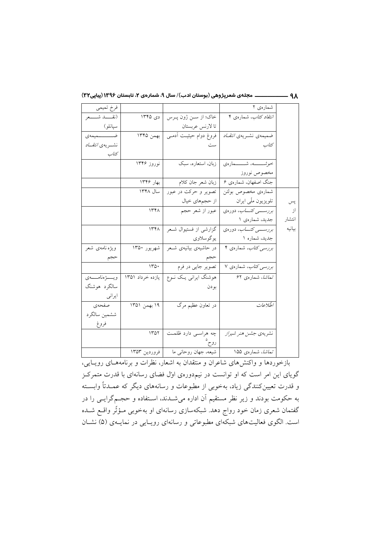۹۸ \_\_\_\_\_\_\_\_\_\_\_\_\_ مجلهي شعرپژوهي (بوستان ادب)/ سال ۹، شمارهي ۲، تابستان ۱۳۹۶ (پیاپی۲۲)

|        | شمارەي ۲                          |                                   |                  | فرخ تميمي              |
|--------|-----------------------------------|-----------------------------------|------------------|------------------------|
|        | <i>انتقاد کتاب</i> ، شمارەی ۴     | خاک؛ از سـن ژون پـرس              | دی ۱۳۴۵          | (نقـــــد شــــــعر    |
|        |                                   | تا لارنس عربستان                  |                  | سپانلو)                |
|        | ضمیمهی نشـریهی <i>انتقـاد</i>     | فروغ دوام حیثیت آدمـی   بهمن ۱۳۴۵ |                  | ضــــــــــــمیمهى     |
|        | كتاب                              | ست                                |                  | نشسريەي <i>انتقساد</i> |
|        |                                   |                                   |                  | كتاب                   |
|        | <i>خوشـــــــه</i> ، شـــــــماره | زبان، استعاره، سبک                | نوروز ۱۳۴۶       |                        |
|        | مخصوص نوروز                       |                                   |                  |                        |
|        | جنگ اصفهان، شمارهی ۶              | زبان شعر جان كلام                 | بهار ۱۳۴۶        |                        |
|        | شمارەي مخصوص بولتن                | تصوير و حركت در عبور              | سال ۱۳۴۸         |                        |
| پس     | تلویزیون ملّی ایران               | از حجمهای خیال                    |                  |                        |
| از     | بررسے کتاب، دورہی                 | عبور از شعر حجم                   | 177              |                        |
| انتشار | جدید، شمارهی ۱                    |                                   |                  |                        |
| بيانيه | بررسے کتاب، دورہی                 | گزارشی از فستیوال شـعر            | 156              |                        |
|        | جدید، شماره ۱                     | يوگوسلاوي                         |                  |                        |
|        | برر <i>سی کتاب،</i> شمارهی ۴      | در حاشیهی بیانیهی شـعر            | شهريور ۱۳۵۰      | ويژه نامەي شعر         |
|        |                                   |                                   |                  | حجم                    |
|        | برر <i>سی کتاب</i> ، شمارهی ۷     | تصوير جايي در فرم                 | 170.             |                        |
|        | تم <i>اشا</i> ، شمارەي ۶۲         | هوشنگ ایرانی یک نـوع              | یازده خرداد ۱۳۵۱ | ويسسۋەنامىسەي          |
|        |                                   | بودن                              |                  | سالگرد هوشنگ           |
|        |                                   |                                   |                  | ايراني                 |
|        | اطلاعات                           | در تعاون عظیم مرگ                 | ۱۹ بهمن ۱۳۵۱     | صفحهى                  |
|        |                                   |                                   |                  | ششمين سالگرد           |
|        |                                   |                                   |                  | فروغ                   |
|        | نشریهی جشن <i>هنر شیراز</i>       | چه هراسـی دارد ظلمـت              | ۱۳۵۲             |                        |
|        |                                   | روح                               |                  |                        |
|        | تم <i>اشا</i> ، شمارەي ۱۵۵        | شيعه، جهان روحاني ما              | فروردين ۱۳۵۳     |                        |

.<br>بازخوردها و واکنشهای شاعران و منتقدان به اشعار، نظرات و برنامههـای رویــایی، گویای این امر است که او توانست در نیمدورهی اول فضای رسانهای با قدرت متمرکـز و قدرت تعیینکنندگی زیاد، بهخوبی از مطبوعات و رسانههای دیگر که عمـدتاً وابســته به حکومت بودند و زیر نظر مستقیم آن اداره میشــدند، اســتفاده و حجــمگرایــی را در گفتمان شعری زمان خود رواج دهد. شبکهسازی رسانهای او بهخوبی مـؤثّر واقــع شــده است. الگوی فعالیتهای شبکهای مطبوعاتی و رسانهای رویـایی در نمایــهی (۵) نشــان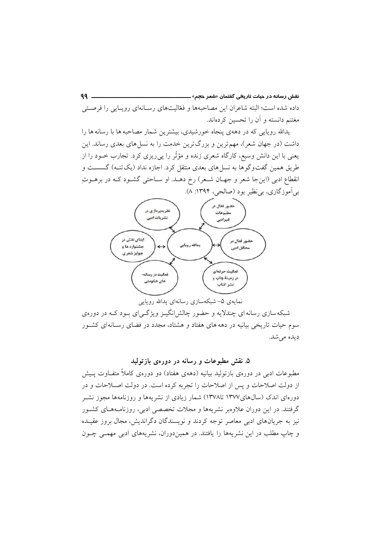$99 -$ نقش رسانه در حیات تا*ر*ی<del>خ</del>ی گفتمان «شعر ح<del>ج</del>م» ـــ داده شده است؛ البته شاعران این مصاحبهها و فعّالیتهای رسـانهای رویـایی را فرصـتی مغتنم دانسته و أن را تحسین کردهاند.

یدالله رویایی که در دههی پنجاه خورشیدی، بیشترین شمار مصاحبه ها با رسانه ها را داشت (در جهان شعر)، مهم ترین و بزرگ ترین خدمت را به نسل های بعدی رساند. این یعنی با این دانش وسیع، کارگاه شعری زنده و مؤثّر را پی ریزی کرد. تجارب خــود را از طریق همین گفتوگوها به نسل های بعدی منتقل کرد. اجازه نداد (یک تنـه) گسســت و انقطاع ادبی (اینجا شعر و جهـان شـعر) رخ دهـد. او سـاحتی گشـود کـه در برهـوتِ بي آموزگاري، بي نظير بود (صالحي، ١٣٩۴: ٨).



نمايەي ۵– شبكەسازى رسانەاي يدالله رويايى

شبکه سازی رسانه ای چندلایه و حضور چالش انگیـز ویژگـے ای بـود کـه در دورهی سوم حیات تاریخی بیانیه در دهه های هفتاد و هشتاد، مجدد در فضای رسـانهای کشـور ديده مي شد.

## ۵. نقش مطبوعات و رسانه در دورهی بازتولید

مطبوعات ادبی در دورهی بازتولید بیانیه (دههی هفتاد) دو دورهی کاملاً متفـاوت پــیش از دولت اصلاحات و پس از اصلاحات را تجربه کرده است. در دولت اصـلاحات و در دورهای اندک (سال۵عای۱۳۷۷ تا۱۳۷۸) شمار زیادی از نشریهها و روزنامهها مجوز نشـر گرفتند. در این دوران علاوهبر نشریهها و مجلات تخصصی ادبی، روزنامـههـای کشـور نیز به جریانهای ادبی معاصر توجه کردند و نویسندگان دگراندیش، مجال بروز عقیـده و چاپ مطلب در این نشریهها را یافتند. در همیندوران، نشریههای ادبی مهمـی چــون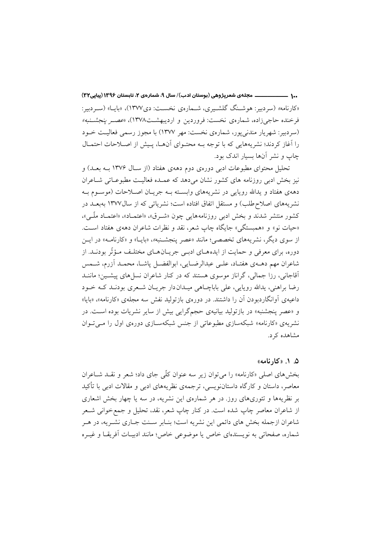..۱ \_\_\_\_\_\_\_\_\_\_\_\_\_\_ مجلهي شعرپژوهي (بوستان ادب)/ سال ۹، شمارهي ۲، تابستان ۱۳۹۶ (پياپي۲۲) «کارنامه» (سردبیر: هوشنگ گلشیبری، شیمارهی نخست: دی۱۳۷۷)، «پایا» (سیردبیر: فرخنده حاجیزاده، شمارهی نخست: فروردین و اردیبهشت۱۳۷۸)، «عصـر *پنجشـنبه»* (سردبیر: شهریار مندنیپور، شمارهی نخست: مهر ۱۳۷۷) با مجوز رسمی فعالیت خـود را آغاز کردند؛ نشریههایی که با توجه بـه محتـوای آنهـا، پـیش از اصـلاحات احتمـال چاپ و نشر آنها بسیار اندک بود.

تحلیل محتوای مطبوعات ادبی دورهی دوم دههی هفتاد (از سال ۱۳۷۶ بـه بعـد) و نیز بخش ادبی روزنامه های کشور نشان می دهد که عمـده فعالیـت مطبوعـاتی شــاعران دههی هفتاد و یدالله رویایی در نشریههای وابسته بـه جریـان اصـلاحات (موسـوم بـه نشریههای اصلاح طلب) و مستقل اتفاق افتاده است؛ نشریاتی که از سال۱۳۷۷ بهبعـد در کشور منتشر شدند و بخش ادبی روزنامههایی چون «شـرق»، «اعتمـاد»، «اعتمـاد ملّـی»، «حیات نو» و «همستگی» جایگاه چاپ شعر، نقد و نظرات شاعران دههی هفتاد است. از سوی دیگر، نشریههای تخصصی؛ مانند «عصر پنجشـنبه»، «بایـا» و «کارنامـه» در ایــن دوره، برای معرفی و حمایت از ایدههـای ادبـی جریــانهــای مختلـف مـؤثّر بودنــد. از شاعران مهم دهــهي هفتــاد، علــي عبدالرضــايي، ابوالفضــل ياشــا، محمــد آزرم، شــمس آقاجانی، رزا جمالی، گراناز موسوی هستند که در کنار شاعران نسلهای پیشـین؛ ماننــد رضا براهني، يدالله رويايي، على باباچــاهي ميــدان دار جريــان شــعرى بودنــد كــه خــود داعیهی آوانگاردبودن آن را داشتند. در دورهی بازتولید نفش سه مجلهی «کارنامه»، «بایا» و «عصر پنجشنبه» در بازتولید بیانیهی حجمگرایی بیش از سایر نشریات بوده است. در نشریهی «کارنامه» شبکهسازی مطبوعاتی از جنس شبکهسـازی دورهی اول را مـی تـوان مشاهده کر د.

# ۵. ۱. «کارنامه»

بخش های اصلی «کارنامه» را می توان زیر سه عنوان کلّی جای داد؛ شعر و نقــد شــاعران معاصر، داستان و کارگاه داستاننویسی، ترجمهی نظریههای ادبی و مقالات ادبی با تأکید بر نظریهها و تئوریهای روز. در هر شمارهی این نشریه، در سه یا چهار بخش اشعاری از شاعران معاصر چاپ شده است. در کنار چاپ شعر، نقد، تحلیل و جمع خوانی شــعر شاعران ازجمله بخش های دائمی این نشریه است؛ بنـابر سـنت جـاری نشـریه، در هـر شماره، صفحاتی به نویسندهای خاص یا موضوعی خاص؛ مانند ادبیـات آفریقـا و غیـره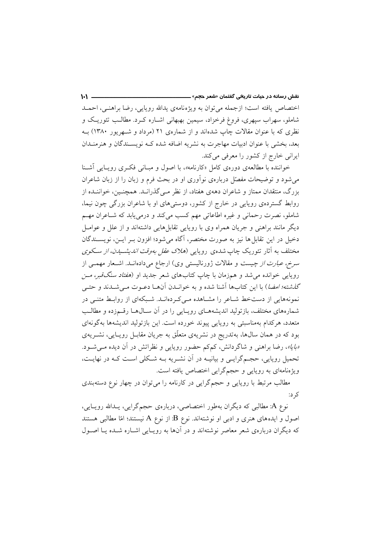اختصاص يافته است؛ ازجمله مي توان به ويژه نامهي يدالله رويايي، رضا براهنـي، احمــد شاملو، سهراب سپهری، فروغ فرخزاد، سیمین بهبهانی اشـاره کـرد. مطالـب تئوریـک و نظری که با عنوان مقالات چاپ شدهاند و از شمارهی ۲۱ (مرداد و شـهریور ۱۳۸۰) بـه بعد، بخشی با عنوان ادبیات مهاجرت به نشریه اضافه شده کـه نویسـندگان و هنرمنـدان ایرانی خارج از کشور را معرفی میکند.

 $1 - 1 =$ 

خواننده با مطالعهی دورهی کامل «کارنامه»، با اصول و مبـانی فکـری رویـایی آشـنا می شود و توضیحات مفصّل دربارهی نوآوری او در بحث فرم و زبان را از زبان شاعران بزرگ، منتقدان ممتاز و شاعران دههی هفتاد، از نظر مـیگذرانـد. همچنـین، خواننـده از روابط گستردهی رویایی در خارج از کشور، دوستیهای او با شاعران بزرگی چون نیما، شاملو، نصرت رحمانی و غیره اطاعاتی مهم کسب میکند و درمی یابد که شـاعران مهـم دیگر مانند براهنی و جریان همراه وی با رویایی تقابل هایی داشتهاند و از علل و عوامــل دخیل در این تقابل ها نیز به صورت مختصر، آگاه میشود؛ افزون بـر ایـن، نویســندگان مختلف به آثار تئوریک چاپ شدهی رویایی (*هلاک عقل بهوقت اندیشـیدن، از سـکوی سرخ، عبارت از چیست* و مقالات ژورنالیستی وی) ارجاع میدادهانــد. اشــعار مهمــی از رویایی خوانده میشد و همزمان با چاپ کتابهای شعر جدید او (*هفتاد سنگقبر، مــن گذشته؛ امضا*) با این کتابها آشنا شده و به خوانـدن آنهـا دعـوت مـی شـدند و حتـی نمونههایی از دستخط شـاعر را مشـاهده مـی کـردهانـد. شـبکهای از روابـط متنـی در شمارههای مختلف، بازتولید اندیشههـای رویـایی را در آن سـالهـا رقـمزده و مطالـب متعدد، هرکدام بهمناسبتی به رویایی پیوند خورده است. این بازتولید اندیشهها بهگونهای بود که در همان سالها، بهتدریج در نشریهی متعلّق به جریان مقابـل رویـایی، نشــریهی «بایا»، رضا براهنی و شاگردانش، کمکم حضور رویایی و نظراتش در آن دیده می شود. تحمیل رویایی، حجـمگرایـی و بیانیــه در آن نشــریه بــه شــکلی اسـت کــه در نهایــت، ویژهنامهای به رویایی و حجمگرایی اختصاص یافته است.

مطالب مرتبط با رویایی و حجمگرایی در کارنامه را میتوان در چهار نوع دستهبندی کر د:

نوع A: مطالبی که دیگران بهطور اختصاصی، دربارهی حجمگرایی، یـدالله رویـایی، اصول و ایدههای هنری و ادبی او نوشتهاند. نوع B: از نوع A نیستند؛ امّا مطالبی هستند که دیگران دربارهی شعر معاصر نوشتهاند و در آنها به رویـایی اشـاره شـده یـا اصـول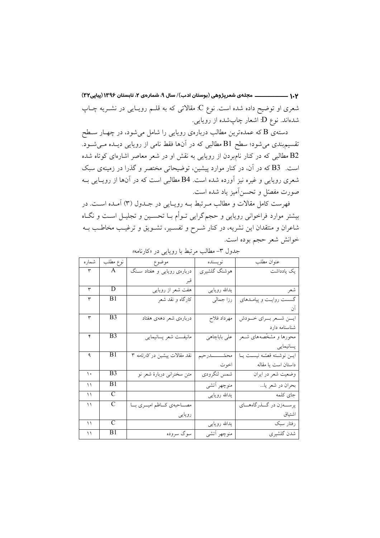۱.۲ ــــــــــــــــــــــــــ مجلهى شعرپژوهي (بوستان ادب)/ سال ۹، شمارهى ۲، تابستان ۱۳۹۶ (پیاپی۲۲) شعري او توضيح داده شده است. نوع C: مقالاتي كه به قلــم رويــايي در نشــريه چــاپ شدهاند. نوع D: اشعار چاپشده از رویایی.

دستهی B که عمدهترین مطالب دربارهی رویایی را شامل میشود، در چهـار سـطح تقسیم.بندی میشود؛ سطح B1مطالبی که در آنها فقط نامی از رویایی دیــده مــیشــود. B2 مطالبی که در کنار نامبردن از رویایی به نقش او در شعر معاصر اشارهای کوتاه شده است. B3 که در آن، در کنار موارد پیشین، توضیحاتی مختصر و گذرا در زمینهی سبک شعری رویایی و غیره نیز آورده شده است. B4 مطالبی است که در آنها از رویایی بـه صورت مفصّل و تحسن آمیز یاد شده است.

فهرست كامل مقالات و مطالب مـرتبط بـه رويـايي در جـدول (٣) آمـده اسـت. در بیشتر موارد فراخوانی روپایی و حجم\$رایی تـوأم بــا تحسـین و تجلیــل اسـت و نگــاه شاعران و منتقدان این نشریه، در کنار شـرح و تفسـیر، تشـویق و ترغیـب مخاطـب بــه خوانش شعر حجم بوده است.

| شمار ه        | نوع مطلب       | موضوع                                | نويسنده             | عنوان مطلب                      |
|---------------|----------------|--------------------------------------|---------------------|---------------------------------|
| ٣             | A              | دربارهی رویایی و هفتاد سـنگ          | هوشنگ گلشیری        | یک یادداشت                      |
|               |                |                                      |                     |                                 |
| ٣             | D              | هفت شعر از رویایی                    | يدالله رويايي       | شعر                             |
| ٣             | B1             | کارگاه و نقد شعر                     | رزا جمالی           | گسست روایـت و پیامـدهای         |
|               |                |                                      |                     | آن                              |
| ٣             | B3             | دربارەي شعر دهەي هفتاد               | مهرداد فلاح         | ايمن شمعر بسراي خسودش           |
|               |                |                                      |                     | شناسنامه دارد                   |
| ۴             | B3             | مانيفست شعر پسانيمايي                | على باباچاهي        | محورها و مشخّصههای شـعر         |
|               |                |                                      |                     | پسانیمایی                       |
| ٩             | B1             | نقد مقالات پیشین در <i>کارنامه</i> ۳ | محمّــــــــــدرحيم | اين نوشته قصّه نيست يا          |
|               |                |                                      | اخوت                | داستان است یا مقاله             |
| $\mathcal{L}$ | B <sub>3</sub> | متن سخنرانی دربارهٔ شعر نو           | شمس لنگرودي         | وضعيت شعر در ايران              |
| ۱۱            | B1             |                                      | منوچهر أتشى         | بحران در شعر يا                 |
| ۱۱            | $\mathcal{C}$  |                                      | يدالله رويايى       | جاي كلمه                        |
| ۱۱            | C              | مصـــاحبهى كـــاظم اميـــرى بـــا    |                     | پرســــهزن در گــــذرگاههــــاي |
|               |                | رويايي                               |                     | اشتياق                          |
| ۱۱            | $\overline{C}$ |                                      | يدالله رويايي       | رفتار سبک                       |
| ۱۱            | B1             | سوگ سروده                            | منوچهر أتشى         | شدن گلشيري                      |

جدول ٣- مطالب مرتبط با روياي<sub>ه،</sub> در «كارنامه*»*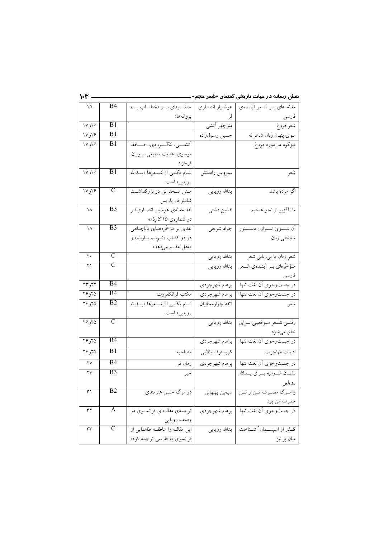| ۱۵                     | B4                      | حاشـــيهاي بـــر «خطـــاب بـــه     | هوشيار انصارى    | مقدّمتهای بسر شنعر أينتدهي  |
|------------------------|-------------------------|-------------------------------------|------------------|-----------------------------|
|                        |                         | پروانهها»                           | فر               |                             |
| ۱۷و۱۷                  | B1                      |                                     | منوچهر اَتشى     | شعر فروغ                    |
| ۱۶و۱۷                  | B1                      |                                     | حسين رسولزاده    | سوى پنهان زبان شاعرانه      |
| ۱۷و۱۷                  | B1                      | أتشسى، لنگسرودي، حسافظ              |                  | میزگرد در مورد فروغ         |
|                        |                         | موسوى، عنايت سميعي، پــوران         |                  |                             |
|                        |                         | فرخزاد                              |                  |                             |
| ۱۶و۱۷                  | B1                      | نسام یکسی از شسعرها «یسدالله        | سیروس رادمنش     | شعر                         |
|                        |                         | رویایی» است                         |                  |                             |
| ۱۷و۱۷                  | $\mathsf{C}$            | مـتن سـخنراني در بزرگداشـت          | يدالله رويايى    | اگر مرده باشد               |
|                        |                         | شاملو در پاریس                      |                  |                             |
| ۱۸                     | B <sub>3</sub>          | نقد مقالهى هوشيار انصـارىفـر        | افشين دشتى       | ما ناگزیر از نحو هستیم      |
|                        |                         | در شمارەي ۱۵ک <i>ارنامە</i>         |                  |                             |
| ۱۸                     | B <sub>3</sub>          | نقدی بر مؤخّرههــای باباچــاهی      | جواد شريفي       | آن ســـوي تـــوازن دســـتور |
|                        |                         | در دو کتــاب «نــمنــم بــارانـم» و |                  | شناختي زبان                 |
|                        |                         | «عقل عذابم مىدهد»                   |                  |                             |
| $\mathbf{y}$ .         | C                       |                                     | يدالله رويايى    | شعر زبان يا بيزباني شعر     |
| ۲۱                     | $\overline{\rm C}$      |                                     | يدالله رويايى    | مؤخّرهاي بـر أينـدهي شـعر   |
|                        |                         |                                     |                  | فارسى                       |
| ۲۲و ۲۳                 | <b>B4</b>               |                                     | پرهام شهرجردي    | در جستوجوي أن لغت تنها      |
| ۲۶و۲۶                  | B4                      | مكتب فرانكفورت                      | پرهام شهرجردي    | در جستوجوي أن لغت تنها      |
| ۲۶و ۲۶                 | $\overline{B2}$         | نــام يكـــى از شـــعرها «يـــدالله | آتفه چهارمحالیان | شعر                         |
|                        |                         | رویایی» است                         |                  |                             |
| ۲۶و ۲۶                 | $\overline{C}$          |                                     | يدالله رويايي    | وقتسى شمعر مسوقعيتي بسراي   |
|                        |                         |                                     |                  | خلق مىشود                   |
| ۲۶و ۲۶                 | B4                      |                                     | پرهام شهرجردي    | در جستوجوي أن لغت تنها      |
| ۲۶و ۲۶                 | B1.                     | مصاحبه                              | كريستوف بالايي   | ادبيات مهاجرت               |
| $\overline{YV}$        | B4                      | رمان نو                             | پرهام شهرجردي    | در جستوجوي أن لغت تنها      |
| $\mathsf{Y}\mathsf{V}$ | B <sub>3</sub>          | خبر                                 |                  | نشسان شسواليه بسراى يسدالله |
|                        |                         |                                     |                  | رويايي                      |
| ٣١                     | B <sub>2</sub>          | در مرگ حسن هنرمندي                  | سيمين بهبهاني    | و مـرگ مصـرف تـن و تـن ا    |
|                        |                         |                                     |                  | مصرف من بود                 |
| ٣٢                     | A                       | ترجمهی مقالـهای فرانســوی در        | پرهام شهرجردي    | در جستوجوي أن لغت تنها      |
|                        |                         | وصف رويايي                          |                  |                             |
| ٣٣                     | $\overline{\mathsf{C}}$ | این مقالـه را عاطفـه طاهـایی از     | يدالله رويايي    | گـذر از اسیســمان ٔ شــناخت |
|                        |                         | فرانسوي به فارسي ترجمه كرده         |                  | ميان پرانتز                 |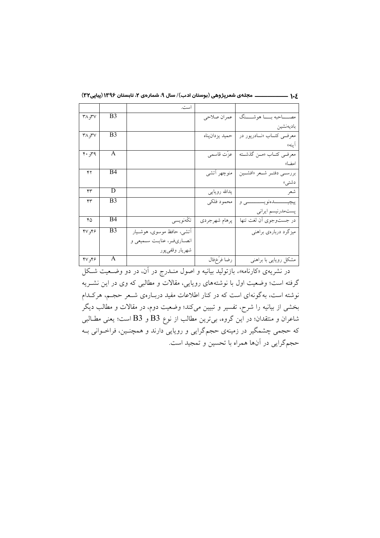|  |  |  |  |  | . مجلهی شعرپژوهی (بوستان ادب)/ سال ۹، شمارهی ۲، تابستان ۱۳۹۶ (پیاپی۲۲) |  | ۱∙٤ |
|--|--|--|--|--|------------------------------------------------------------------------|--|-----|
|--|--|--|--|--|------------------------------------------------------------------------|--|-----|

|                             |                | است.                      |                |                                            |
|-----------------------------|----------------|---------------------------|----------------|--------------------------------------------|
| $Y^{\prime}$ , $Y^{\prime}$ | B <sub>3</sub> |                           | عمران صلاحي    | مصـــــاحبه بـــــا هوشـــــنگ             |
|                             |                |                           |                | باديهنشين                                  |
| ۳۸٫۳۷                       | B <sub>3</sub> |                           | حميد يزدانپناه | معرف <sub>عی</sub> کتــاب «نــادرپور در    |
|                             |                |                           |                | ابنه»                                      |
| 4.4                         | A              |                           | عزّت قاسمي     | معرفــي كتــاب «مــن گذشــته               |
|                             |                |                           |                | امضا»                                      |
| ۴۲                          | B4             |                           | منوچهر أتشى    | بررســي دفتــر شــعر «افشــين              |
|                             |                |                           |                | دشتى»                                      |
| ۴۳                          | D              |                           | يدالله رويايي  | شعر                                        |
| ۴٣                          | B <sub>3</sub> |                           | محمود فلكي     | پيچيــــــــــــدەنويســـــــــــــــــى و |
|                             |                |                           |                | پستەمدرنيسم ايرانى                         |
| ۴۵                          | B4             | تكەنويسى                  | پرهام شهرجردي  | در جستوجوي أن لغت تنها                     |
| $Y$ ۹۴۶                     | B <sub>3</sub> | أتشى، حافظ موسوى، هوشـيار |                | میزگرد دربارهی براهنی                      |
|                             |                | انصاریفر، عنایت سمیعی و   |                |                                            |
|                             |                | شهريار وقفىپور            |                |                                            |
| $Y$ ۹۴۶                     | A              |                           | رضا فرّخفال    | مشکل رویایی با براهنی                      |

در نشریهی «کارنامه»، بازتولید بیانیه و اصول منـدرج در آن، در دو وضـعیت شـکل گرفته است؛ وضعیت اول با نوشتههای رویایی، مقالات و مطالبی که وی در این نشـریه نوشته است، به گونهای است که در کنار اطلاعات مفید دربـارهی شـعر حجـم، هرکـدام بخشی از بیانیه را شرح، تفسیر و تبیین میکند؛ وضعیت دوم، در مقالات و مطالب دیگر شاعران و منتقدان؛ در این گروه، بیترین مطالب از نوع B3 و B3 است؛ یعنی مطــالبی که حجمی چشمگیر در زمینهی حجمگرایی و روپایی دارند و همچنـین، فراخـوانی بــه حجمگرايي در آنها همراه با تحسين و تمجيد است.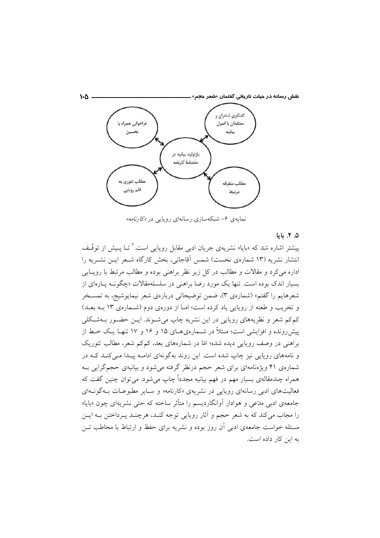نقش رسانه در حیات تا*ر*ی<del>خ</del>ی گفتمان «شعر ح<del>ج</del>م».



نمایهی ۶– شبکهسازی رسانهای رویایی در *«کارنامه»* 

#### ۵. ۲. ماما

پیشتر اشاره شد که «بایا» نشریهی جریان ادبی مقابل روپایی است.<sup>۷</sup> تــا پـیش از توقّــف انتشار نشریه (۱۳ شمارهی نخست) شمس آقاجانی، بخش کارگاه شـعر ایــن نشــریه را اداره می کرد و مقالات و مطالب در کل زیر نظر براهنی بوده و مطالب مرتبط با رویـایی بسیار اندک بوده است. تنها یک مورد رضا براهنی در سلسلهمقالات «چگونــه پــارهای از شعرهایم را گفتم» (شمارهی ۳)، ضمن توضیحاتی دربارهی شعر نیمایوشیج، به تمســخر و تخریب و طعنه از رویایی یاد کرده است؛ امـا از دورهی دوم (شـمارهی ١٣ بـه بعـد) کمکم شعر و نظریههای روپایی در این نشریه چاپ می شـوند. ایــن حضـور بــهشـکلی پیش رونده و افزایشی است؛ مــثلاً در شــمارهی۵ـای ۱۵ و ۱۶ و ۱۷ تنهـا یـک خــط از براهنی در وصف رویایی دیده شده؛ امّا در شمارههای بعد، کمکم شعر، مطالب تئوریک و نامههای رویایی نیز چاپ شده است. این روند بهگونهای ادامــه پیــدا مــیکنــد کــه در شمارهی ۴۱ ویژهنامهای برای شعر حجم درنظر گرفته می شود و بیانیهی حجم گرایی بـه همراه چندمقالهی بسیار مهم در فهم بیانیه مجدداً چاپ میشود. میتوان چنین گفت که فعالیتهای ادب<sub>ی</sub> رسانهای رویایی در نشریهی «کارنامه*»* و سـایر مطبوعـات بـهگونـهای جامعهی ادبی مدّعی و هوادار اَوانگاردیسم را متأثر ساخته که حتی نشریهای چون «بایا» را مجاب می کند که به شعر حجم و آثار روپایی توجه کنـد، هرچنـد پـرداختن بـه ایــن مسئله خواست جامعهی ادبی آن روز بوده و نشریه برای حفظ و ارتباط با مخاطب تـن به این کار داده است.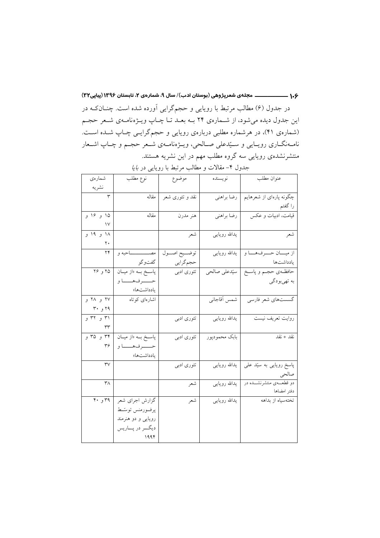در جدول (۶) مطالب مرتبط با رویایی و حجمگرایی آورده شده است. چنــانکــه در این جدول دیده میشود، از شـمارهی ۲۴ بـه بعـد تـا چـاپ ویـژهنامـهی شـعر حجـم (شمارهی ۴۱)، در هرشماره مطلبی دربارهی رویایی و حجمگرایـی چـاپ شـده اسـت. نامـهنگـاری رویـایی و ســیّدعلی صــالحی، ویــژهنامــهی شــعر حجــم و چــاپ اشــعار منتشرنشدهی رویایی سه گروه مطلب مهم در این نشریه هستند.

| شمارەي        | نوع مطلب               | موضوع           | نويسنده       | عنوان مطلب                             |
|---------------|------------------------|-----------------|---------------|----------------------------------------|
| نشريه         |                        |                 |               |                                        |
| ٣             | مقاله                  | نقد و تئوری شعر | رضا براهني    | چگونه پارهای از شعرهایم                |
|               |                        |                 |               | را گفتم                                |
| ۱۵ و ۱۶ و     | مقاله                  | هنر مدرن        | رضا براهني    | قیامت، ادبیات و عکس                    |
| $\mathcal{N}$ |                        |                 |               |                                        |
| ۱۸ و ۱۹ و     |                        | شعر             | يدالله رويايي | شعر                                    |
| ٢٠            |                        |                 |               |                                        |
| ۲۴            | مصــــــــــــــاحبه و | توضــيح اصــول  | يدالله رويايي | از میسان حسرفهسا و                     |
|               | گفتوگو                 | حجم گرايي       |               | يادداشتها                              |
| ۲۵ و ۲۶       | پاسخ به «از میـان      | تئوري ادبي      |               | حافظـهى حجــم و پاســخ   سیّدعلی صالحی |
|               | حـــــرفهــــاو        |                 |               | به تهيبودگي                            |
|               | يادداشتها»             |                 |               |                                        |
| ۲۷ و ۲۸ و     | اشارهای کوتاه          |                 | شمس أقاجاني   | گسست.<br>گسست.های شعر فارسی            |
| ۲۹ و ۳۰       |                        |                 |               |                                        |
| ۳۱ و ۳۲ و     |                        | تئوری ادبی      | يدالله رويايي | روايت تعريف نيست                       |
| ٣٣            |                        |                 |               |                                        |
| ۳۴ و ۳۵ و     | پاسخ به «از میان       | تئوری ادبی      | بابك محمودپور | نقد + نقد                              |
| ۳۶            | حـــــرفهــــاو        |                 |               |                                        |
|               | يادداشتها»             |                 |               |                                        |
| rv            |                        | تئوری ادبی      | يدالله رويايي | پاسخ رویایی به سیّد علی                |
|               |                        |                 |               | صالحي                                  |
| ٣٨            |                        | شعر             | يدالله رويايي | دو قطعــــهى منتشرنشــــده در          |
|               |                        |                 |               | دفتر امضاها                            |
| ۳۹ و ۴۰       | گزارش اجرای شعر        | شعر             | يدالله رويايي | تختهسیاه از بداهه                      |
|               | پرفورمنس توسّط         |                 |               |                                        |
|               | رویایی و دو هنرمند     |                 |               |                                        |
|               | ديگــر در پـــاريس     |                 |               |                                        |
|               | ۱۹۹۴                   |                 |               |                                        |

جدول ۴- مقالات و مطالب مرتبط با رویایی در *بایا*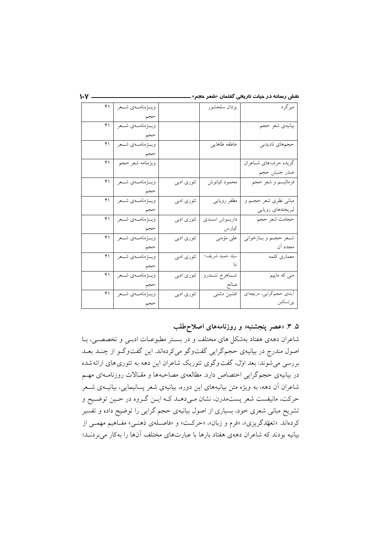|  |  | نقش رسانه در حیات تاریخی گفتمان «شعر حجم» |  |  |  |  |  |
|--|--|-------------------------------------------|--|--|--|--|--|
|--|--|-------------------------------------------|--|--|--|--|--|

| ۴۱ | ويسۋەنامىەي شىمر          |            | يزدان سلحشور      | ميزگرد                   |
|----|---------------------------|------------|-------------------|--------------------------|
|    | حجم                       |            |                   |                          |
| ۴۱ | ويسۋەنامىەي شىـعر         |            |                   | بيانيهي شعر حجم          |
|    | حجم                       |            |                   |                          |
| ۴۱ | ويسۋەنامىەي شىمر          |            | عاطفه طاهايي      | حجمهاي ناديدني           |
|    | حجم                       |            |                   |                          |
|    | ويژەنامە شعر حجم   ۴۱     |            |                   | گزيده حرف هاي شـاعران    |
|    |                           |            |                   | صدر جنبش حجم             |
| ۴۱ | ويسۋەنامىەي شىمر          | تئوری ادبی | محمود كيانوش      | فرماليسم و شعر حجم       |
|    | حجم                       |            |                   |                          |
|    | ويسۋەنامىـەي شـــعر   ۴۱  | تئوري ادبي | مظفر رويايي       | مبانی نظری شعر حجــم و   |
|    | حجم                       |            |                   | لبريختههاى رويايي        |
| ۴۱ | ويسؤهنامسهي شسعر          | تئوری ادبی | داريموش اسمدي     | حجامت شعر حجم            |
|    | حجم                       |            | کیارس             |                          |
| ۴۱ | ويسۋەنامىەي شىـعر         | تئوری ادبی | على مؤمنى         | شـعر حجـم و بــازخواني   |
|    | حجم                       |            |                   | مجدد آن                  |
| ۴۱ | ويسۋەنامىەي شىمر          | تئوري ادبي | سيّد حميد شريف-   | معماري كلمه              |
|    | حجم                       |            |                   |                          |
| ۴۱ | ويسؤهنامسهي شسعر          | تئوري ادبي | شـــاهرخ تنـــدرو | منی که ماییم             |
|    | حجم                       |            | صالح              |                          |
| ۴۱ | ويــــڑەنامــــهى شــــعر | تئوري ادبي | افشين دشتي        | أينەي حجم گرايي، دريچەاي |
|    |                           |            |                   | بي تسكين                 |

 $\mathbf{V} -$ 

۵. ۳. «عصر پنجشنبه» و روزنامههای اصلاحطلب

شاعران دههی هفتاد بهشکل های مختلف و در بستر مطبوعـات ادبـی و تخصصـی، بـا اصول مندرج در بیانیهی حجم گرایی گفتوگو میکردهاند. این گفتوگـو از چنــد بعــد بررسی میشوند: بعد اول، گفت وگوی تئوریک شاعران این دهه به تئوری های ارائهشده در بیانیهی حجم گرایی اختصاص دارد. مطالعهی مصاحبهها و مقـالات روزنامـهای مهـم شاعران آن دهه، به ویژه متن بیانیههای این دوره، بیانیهی شعر پسانیمایی، بیانیــهی شــعر حرکت، مانیفست شعر پستمدرن، نشان مـی۵هـد کـه ایـن گـروه در حـین توضـیح و تشریح مبانی شعری خود، بسیاری از اصول بیانیهی حجم گرایی را توضیح داده و تفسیر کردهاند. «تعهّدگریزی»، «فرم و زبان»، «حرکت» و «فاصـلهی ذهنـی» مفـاهیم مهمـی از بیانیه بودند که شاعران دههی هفتاد بارها با عبارتهای مختلف آنها را بهکار می بردنـد؛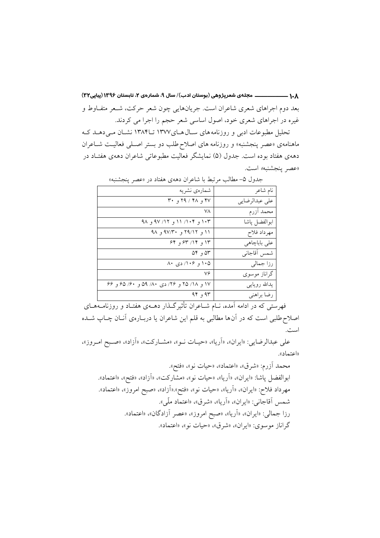۱۰۸ ————————— مجلهی شعرپژوهی (بوستان ادب)/ سال ۹، شمارهی ۲، تابستان ۱۳۹۶ (پیاپی۲۳) بعد دوم اجراهای شعری شاعران است. جریانهایی چون شعر حرکت، شـعر متفـاوط و غیره در اجراهای شعری خود، اصول اساسی شعر حجم را اجرا می کردند.

تحلیل مطبوعات ادبی و روزنامههای سـالهـای١٣٧٧ تــ١٣٨۴ نشـان مـیدهـد کـه ماهنامهی «عصر پنجشنبه» و روزنامه های اصلاح طلب دو بستر اصـلی فعالیـت شـاعران دههی هفتاد بوده است. جدول (۵) نمایشگر فعالیت مطبوعاتی شاعران دههی هفتـاد در «عصر ينجشنبه» است.

| نام شاعر       | شمارەي نشريە                              |
|----------------|-------------------------------------------|
| على عبدالرضايي | ۴۷ و ۲۸ / ۲۹ و ۳۰                         |
| محمد أزرم      | ٧٨                                        |
| ابوالفضل پاشا  | ۱۰۳ و ۱۰۴/ ۱۱ و ۱۲/ ۹۷ و ۹۸               |
| مهرداد فلاح    | ۱۱ و ۲۹/۱۲ و ۹۷/۳۰ و ۹۸                   |
| على باباچاهي   | ۱۳ و ۱۴/ ۶۳ و ۶۴                          |
| شمس أقاجاني    | ۵۴ و ۵۴                                   |
| رزا جمالی      | ۱۰۵ و ۱۰۶/ دی ۸۰                          |
| گراناز موسوی   | ٧۶                                        |
| يدالله رويايي  | ۱۷ و ۱۸/ ۲۵ و ۲۶/ دی ۸۰/ ۵۹ و ۶۰/ ۶۵ و ۶۶ |
| رضا براهني     | 94, 94                                    |

جدول ۵- مطالب مرتبط با شاعران دههی هفتاد در «عصر پنجشنبه»

.<br>فهرستی که در ادامه آمده، نــام شــاعران تأثیرگــذار دهــهی هفتــاد و روزنامــههــای اصلاح طلبی است که در آن ها مطالبی به قلم این شاعران یا دربـارهی آنــان چــاپ شــده است.

علي عبدالرضايي: «ايران»، «اَرِيا»، «حيـات نـو»، «مشـاركت»، «اَزاد»، «صـبح امـروز»، «اعتماد».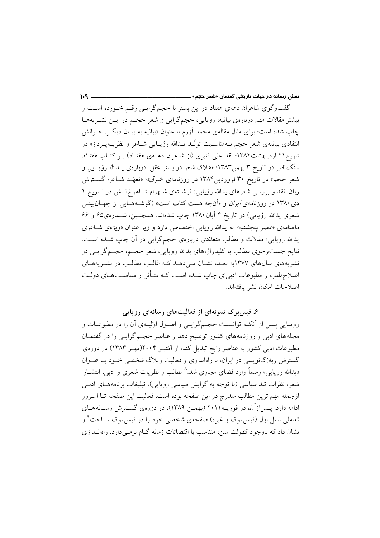گفتوگوی شاعران دههی هفتاد در این بستر با حجم گرایـی رقـم خـورده اسـت و بیشتر مقالات مهم دربارهی بیانیه، رویایی، حجمگرایی و شعر حجـم در ایــن نشــریههــا چاپ شده است؛ برای مثال مقالهی محمد آزرم با عنوان «بیانیه به بیـان دیگـر: خــوانش انتقادی بیانیهی شعر حجم بــهمناسـبت تولّــد پــدالله رؤیــایی شــاعر و نظریــهیــرداز» در تاریخ۲۱ اردیبهشت۱۳۸۲؛ نقد علی قنبری (از شاعران دهــهی هفتـاد) بــر کتــاب *هفتـاد* سنگ قبر در تاریخ ۳ بهمن۱۳۸۳؛ «هلاک شعر در بستر عقل: دربارهی یـدالله رؤیـایی و شعر حجم» در تاریخ ۳۰ فروردین۱۳۸۴ در روزنامهی «*شرق»*؛ «تعهّــد شــاعر؛ گســترش زبان: نقد و بررسی شعرهای یدالله رؤیایی» نوشتهی شـهرام شـاهرخ تـاش در تـاریخ ۱ دی ۱۳۸۰ در روزنامهی *ایران* و «آنچه هست کتاب است» (گوشـههـایی از جهـانبینـی شعری یدالله رؤیایی) در تاریخ ۴ آبان ۱۳۸۰ چاپ شدهاند. همچنـین، شـمارهی۶۵ و ۶۶ ماهنامهی «عصر پنجشنبه» به پدالله روپایی اختصاص دارد و زیر عنوان «ویژهی شــاعری یدالله رویایی» مقالات و مطالب متعدّدی دربارهی حجم گرایی در آن چاپ شـده اسـت. .<br>نتایج جستوجوی مطالب با کلیدواژههای یدالله رویایی، شعر حجـم، حجـم گرایــی در نشریههای سالهای ۱۳۷۷به بعـد، نشــان مــی۵هــد کــه غالــب مطالــب در نشــریههــای اصلاح طلب و مطبوعات ادبیای چاپ شـده اسـت کــه متــأثر از سیاســتهــای دولــت اصلاحات امكان نشر يافتهاند.

 $1 - 9$ 

# ۶. فیس بوک نمونهای از فعالیتهای رسانهای رویایی

رویـایی پـس از آنکــه توانســت حجــمگرایــی و اصــول اولیــهی آن را در مطبوعــات و مجله های ادبی و روزنامه های کشور توضیح دهد و عناصر حجـم گرایــی را در گفتمــان مطبوعات ادبی کشور به عناصر رایج تبدیل کند، از اکتبـر ۲۰۰۴(مهـر ۱۳۸۳) در دورهی گسترش وبلاگنویسی در ایران، با راهاندازی و فعالیت وبلاگ شخصی خـود بـا عنـوان «یدالله روپایی» رسماً وارد فضای مجازی شد.<sup>^</sup> مطالب و نظریات شعری و ادبی، انتشــار شعر، نظرات تند سیاسی (با توجه به گرایش سیاسی رویایی)، تبلیغات برنامههـای ادبــی ازجمله مهم ترین مطالب مندرج در این صفحه بوده است. فعالیت این صفحه تــا امــروز ادامه دارد. پـس|زآن، در فوریــه ۲۰۱۱ (بهمـن ۱۳۸۹)، در دورهی گسـترش رسـانه هـای تعاملی نسل اول (فیس بوک و غیره) صفحهی شخصی خود را در فیس بوک ســاخت<sup>۹</sup> و نشان داد که باوجود کهولت سن، متناسب با اقتضائات زمانه گــام برمــی دارد. راهانــدازی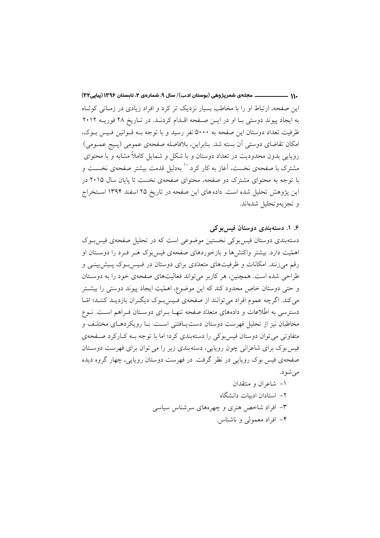.۱۱ ـــــــــــــــــــــ مجلهي شعرپژوهي (بوستان ادب)/ سال ۹، شمارهي ۲، تابستان ۱۳۹۶ (پیاپی۳۲) این صفحه، ارتباط او را با مخاطب بسیار نزدیک تر کرد و افراد زیادی در زمیانی کوتیاه به ایجاد پیوند دوستی با او در ایـن صـفحه اقـدام کردنـد. در تـاریخ ۲۸ فوریـه ۲۰۱۲ ظرفیت تعداد دوستان این صفحه به ۵۰۰۰ نفر رسید و با توجه بـه قـوانین فـیس بـوک، امکان تقاضای دوستی اّن بسته شد. بنابراین، بلافاصله صفحهی عمومی (پـیج عمـومی) رویایی بدون محدودیت در تعداد دوستان و با شکل و شمایل کاملاً مشابه و با محتوای مشترک با صفحهی نخست، آغاز به کار کرد. `` بهدلیل قدمت بیشتر صفحهی نخســت و با توجه به محتوای مشترک دو صفحه، محتوای صفحهی نخست تا پایان سال ۲۰۱۵ در این پژوهش تحلیل شده است. داده های این صفحه در تاریخ ۲۵ اسفند ۱۳۹۴ استخراج و تجزيهوتحليل شدهاند.

۶. ۱. دستهبندي دوستان فيس بوكي دستهبندی دوستان فیس بوکی نخستین موضوعی است که در تحلیل صفحهی فیس بوک اهمّیت دارد. بیشتر واکنشها و بازخوردهای صفحهی فیسبوک هـر فـرد را دوسـتان او رقم می زنند. امکانات و ظرفیتهای متعدّدی برای دوستان در فـیس بـوک پـیش بینـی و طراحی شده است. همچنین، هر کاربر می تواند فعالیتهای صفحهی خود را به دوستان و حتی دوستان خاص محدود کند که این موضوع، اهمّیت ایجاد پیوند دوستی را بیشتر می کند. اگرچه عموم افراد می توانند از صفحهی فـیس بـوک دیگـران بازدیـد کننـد؛ امّـا دسترسی به اطِّلاعات و دادههای متعدِّد صفحه تنهـا بــرای دوســتان فــراهم اســت. نــوع مخاطبان نیز از تحلیل فهرست دوستان دست پـافتنی اسـت. بـا رویکردهـای مختلـف و متفاوتی می توان دوستان فیس بوکی را دستهبندی کرد؛ اما با توجه بـه کـارکرد صـفحهی فیس بوک برای شاعرانی چون روپایی، دسته بندی زیر را می توان برای فهرست دوستان صفحهي فيس بوک روپايي در نظر گرفت. در فهرست دوستان روپايي، چهار گروه ديده مى شود.

> ۱– شاعران و منتقدان ۲– استادان ادسات دانشگاه ۳- افراد شاخص هنری و چهرههای سرشناس سیاسی ۴– افراد معمولی و ناشناس.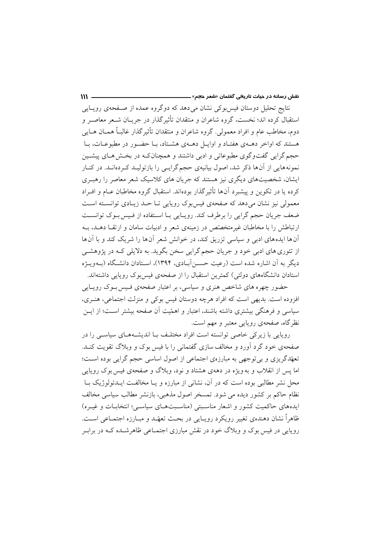نتایج تحلیل دوستان فیس بوکی نشان می دهد که دوگروه عمده از صـفحهی رویـایی استقبال کرده اند؛ نخست، گروه شاعران و منتقدان تأثیرگذار در جریـان شــعر معاصــر و دوم، مخاطب عام و افراد معمولي. گروه شاعران و منتقدان تأثیر گذار غالبـاً همــان هــایـی هستند که اواخر دهــهي هفتـاد و اوايــل دهــهي هشــتاد، بــا حضــور در مطبوعــات، بــا حجم گرایی گفتوگوی مطبوعاتی و ادبی داشتند و همچنان کـه در بخـش هـای پیشـین نمونههایی از آنها ذکر شد، اصول بیانیهی حجمگرایـی را بازتولیـد کـردهانـد. در کنـار ایشان، شخصیتهای دیگری نیز هستند که جریان های کلاسیک شعر معاصر را رهب ی کرده یا در تکوین و پیشبرد آنها تأثیرگذار بودهاند. استقبال گروه مخاطبان عــام و افــراد معمولی نیز نشان میدهد که صفحهی فیس بوک روپایی تـا حـد زیـادی توانسـته اسـت ضعف جريان حجم گرايي را برطرف كند. رويـايي بـا اسـتفاده از فـيس بـوک توانسـت ارتباطش را با مخاطبان غیرمتخصّص در زمینهی شعر و ادبیات سامان و ارتقبا دهید، بیه آنها ایدههای ادبی و سیاسی تزریق کند، در خوانش شعر آنها را شریک کند و با آنها از تئوري هاي ادبي خود و جريان حجم گرايي سخن بگويد. به دلايلي كـه در يژوهشـي دیگر به آن اشاره شده است (رعبت حسـر آبـادی، ۱۳۹۴)، اسـتادان دانشـگاه (پـهویـژه استادان دانشگاههای دولتی) کمترین استقبال را از صفحهی فیس بوک روپایی داشتهاند.

 $\mathbf{m}$ 

حضور چهره های شاخص هنری و سیاسی، بر اعتبار صفحهی فـیس بـوک رویـایی افزوده است. بدیهی است که افراد هرچه دوستان فیس بوکی و منزلت اجتماعی، هنـری، سیاسی و فرهنگی بیشتری داشته باشند، اعتبار و اهمّیت آن صفحه بیشتر اسـت؛ از ایــن نظرِ گاه، صفحهی رویایی معتبر و مهم است.

رویایی با زیرکی خاصی توانسته است افراد مختلف بـا اندیشـههـای سیاسـی را در صفحهی خود گرد آورد و مخالف سازی گفتمانی را با فیس بوک و وبلاگ تقویت کنـد. تعهّدگریزی و بی توجهی به مبارزهی اجتماعی از اصول اساسی حجم گرایی بوده است؛ اما پس از انقلاب و به ویژه در دههی هشتاد و نود، وبلاگ و صفحهی فیس بوک روپایی محل نشر مطالبی بوده است که در آن، نشانی از مبارزه و یـا مخالفـت ایــدئولوژیک بــا نظام حاکم بر کشور دیده می شود. تمسخر اصول مذهبی، بازنشر مطالب سیاسی مخالف ایدههای حاکمیت کشور و اشعار مناسبتی (مناسبتهـای سیاسـی؛ انتخابـات و غیـره) ظاهراً نشان دهندهي تغيير رويكرد رويـايي در بحـث تعهّـد و مبـارزه اجتمـاعي اسـت. روپایی در فیس بوک و وبلاگ خود در نقش مبارزی اجتمـاعی ظاهرشــده کــه در برابـر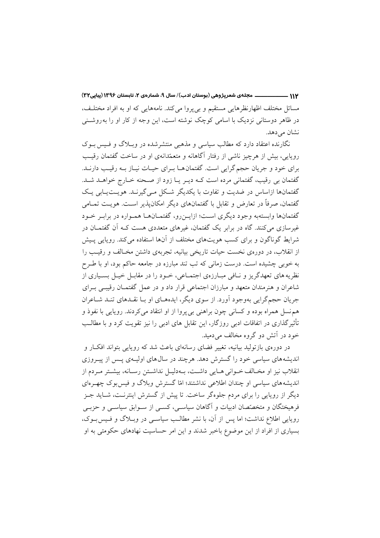۱۱۲ ـــــــــــــــــــــــ مجلهي شعرپژوهي (بوستان ادب)/ سال ۹، شمارهي ۲، تابستان ۱۳۹۶ (پیاپی۳۲) مسائل مختلف اظهارنظرهایی مستقیم و بی پروا می کند. نامههایی که او به افراد مختلف، در ظاهر دوستانی نزدیک با اسامی کوچک نوشته است، این وجه از کار او را به روشـنی نشان می دهد.

نگارنده اعتقاد دارد که مطالب سیاسی و مذهبی منتشرشده در وبلاگ و فسس بوک روپایی، بیش از هرچیز ناشی از رفتار آگاهانه و متعمّدانهی او در ساخت گفتمان رقیب برای خود و جریان حجم گرایی است. گفتمان هـا بـرای حیـات نیـاز بـه رقیـب دارنــد. گفتمان بی رقیب، گفتمانی مرده است کـه دیـر یـا زود از صـحنه خـارج خواهـد شـد. گفتمانها ازاساس در ضدیت و تفاوت با یکدیگر شکل مبی گیرنـد. هویـتیـابی یـک گفتمان، صرفاً در تعارض و تقابل با گفتمانهای دیگر امکانپذیر است. هویت تمـامی گفتمانها وابستهبه وجود ديگري است؛ ازايـن٫رو، گفتمــانهــا همــواره در برابـر خــود غیرسازی میکنند. گاه در برابر یک گفتمان، غیرهای متعددی هست کـه اَن گفتمــان در شرایط گوناگون و برای کسب هویتهای مختلف از آنها استفاده می کند. رویایی پیش از انقلاب، در دورهی نخست حیات تاریخی بیانیه، تجربهی داشتن مخـالف و رقیـب را به خوبی چشیده است. درست زمانی که تب تند مبارزه در جامعه حاکم بود، او با طـرح نظریه های تعهدگریز و نـافی مبـارزهی اجتمـاعی، خـود را در مقابـل خیـل بسـیاری از شاعران و هنرمندان متعهد و مبارزان اجتماعی قرار داد و در عمل گفتمــان رقیبــی بــرای جریان حجمگرایی بهوجود آورد. از سوی دیگر، ایدههای او بـا نقـدهای تنـد شـاعران هم نسل همراه بوده و کسانی چون براهنی بی پروا از او انتقاد می کردند. رویایی با نفوذ و تأثیر گذاری در اتفاقات ادبی روزگار، این تقابل های ادبی را نیز تقویت کرد و با مطالـب خود در آتش دو گروه مخالف می دمید.

در دورهی بازتولید بیانیه، تغییر فضای رسانهای باعث شد که رویایی بتواند افکار و اندیشههای سیاسی خود را گسترش دهد. هرچند در سال های اولیـهی پـس از پیـروزی انقلاب نیز او مخـالف خــوانی هـایی داشــت، بــهدلیــل نداشــتن رسـانه، بیشـتر مــردم از اندیشههای سیاسی او چندان اطلاعی نداشتند؛ امّا گسترش وبلاگ و فیس بوک چهـرهای دیگر از روپایی را برای مردم جلوهگر ساخت. تا پیش از گسترش اینترنـت، شــاید جـز فرهیختگان و متخصّصان ادبیات و آگاهان سیاسبی، کسبی از سـوابق سیاسـبی و حزبـبی روپایی اطلاع نداشت؛ اما پس از آن، با نشر مطالب سیاسی در وبلاگ و فیس بوک، بسیاری از افراد از این موضوع باخبر شدند و این امر حساسیت نهادهای حکومتی به او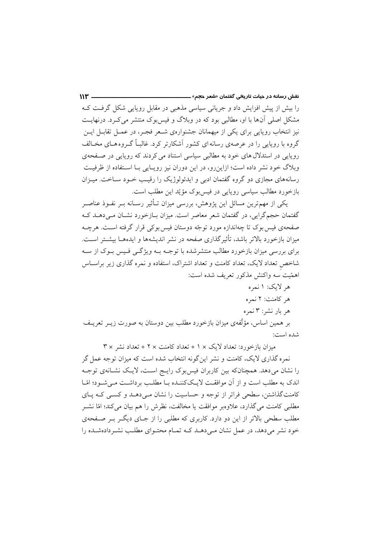را بیش از پیش افزایش داد و جریانی سیاسی مذهبی در مقابل رویایی شکل گرفـت کـه مشکل اصلی آنها با او، مطالبی بود که در وبلاگ و فیس بوک منتشر می کـرد. درنهایـت نیز انتخاب رویایی برای یکی از میهمانان جشنوارهی شـعر فجـر، در عمـل تقابـل ایــن گروه با روپایی را در عرصهی رسانه ای کشور آشکارتر کرد. غالباً گیروه هیای مخیالف روپایی در استدلال های خود به مطالبی سیاسی استناد می کردند که روپایی در صفحهی وبلاگ خود نشر داده است؛ ازاین رو، در این دوران نیز رویـایی بـا اسـتفاده از ظرفیـت رسانههای مجازی دو گروه گفتمان ادبی و ایدئولوژیک را رقیب خـود سـاخت. میـزان بازخورد مطالب سیاسی رویایی در فیس بوک مؤیّد این مطلب است.

یکی از مهمترین مسائل این پژوهش، بررسی میزان تــأثیر رســانه بــر نفــوذ عناصــر گفتمان حجمگرایی، در گفتمان شعر معاصر است. میزان بـازخورد نشـان مـیدهـد کـه صفحهي فيس يوک تا چهاندازه مورد توجّه دوستان فيس يوکي قرار گرفته است. هرچـه میزان بازخورد بالاتر باشد، تأثیر گذاری صفحه در نشر اندیشهها و ایدههــا بیشــتر اســت. برای بررسی میزان بازخورد مطالب منتشرشده با توجــه بــه ویژگــی فـیس بــوک از ســه شاخص تعداد لایک، تعداد کامنت و تعداد اشتراک، استفاده و نمره گذاری زیر براسیاس اهمّيت سه واكنش مذكور تعريف شده است:

هر لايک: ۱ نمره هر كامنت: ۲ نمره هر بار نشر: ۳ نمره

بر همین اساس، مؤلَّفهی میزان بازخورد مطلب بین دوستان به صورت زیــر تعریــف شده است:

میزان بازخورد: تعداد لایک × 1 + تعداد کامنت × ٢ + تعداد نشر × ٣ نمره گذاری لایک، کامنت و نشر این گونه انتخاب شده است که میزان توجه عمل گر را نشان میدهد. همچنانکه بین کاربران فیسبوک رایج است، لایک نشـانهی توجـه اندک به مطلب است و از آن موافقت لایککننـده بـا مطلـب برداشـت مـیشـود؛ امّـا کامنتگذاشتن، سطحی فراتر از توجه و حساسیت را نشان مبی دهـد و کسـبی کـه پـای مطلبی کامنت می گذارد، علاوهبر موافقت یا مخالفت، نظرش را هم بیان می کند؛ امّا نشــر مطلب سطحی بالاتر از این دو دارد. کاربری که مطلبی را از جــای دیگــر بــر صــفحهی خود نشر می دهد، در عمل نشان مے دهـد کـه تمـام محتـوای مطلـب نشـردادهشـده را

 $W =$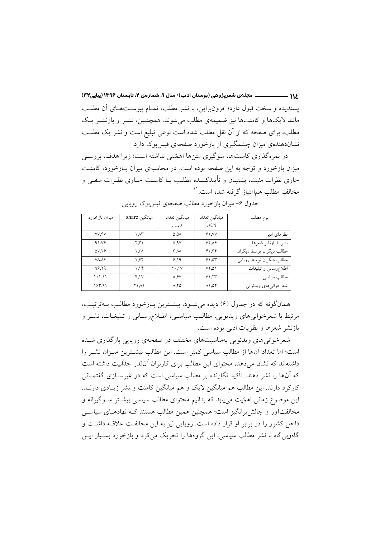۱۱۶ ــــــــــــــــــــــ مجلهي شعرپژوهي (بوستان ادب)/ سال ۹، شمارهي ۲، تابستان ۱۳۹۶ (پیاپی۳۲) يسنديده و سخت قبول دارد؛ افزون راين، با نشر مطلب، تمــام پيوســتهــاي آن مطلــب مانند لایکها و کامنتها نیز ضمیمهی مطلب میشوند. همچنـین، نشـر و بازنشـر یـک مطلب، برای صفحه که از آن نقل مطلب شده است نوعی تبلیغ است و نشر یک مطلب نشاندهندهی میزان چشمگیری از بازخورد صفحهی فیس بوک دارد.

در نمرهگذاری کامنتها، سوگیری متنها اهمّیتی نداشته است؛ زیرا هدف، بررسـی میزان بازخورد و توجه به این صفحه بوده است. در محاسبهی میزان بـازخورد، کامنـت حاوی نظرات مثبت، پشتیبان و تأییدکننــده مطلــب بــا کامنــت حــاوی نظـرات منفــی و مخالف مطلب هم|متیاز گرفته شده است.''

| میزان بازخورد     | مبانگین share | مبانگين تعداد    | ميانگين تعداد | نوع مطلب                 |
|-------------------|---------------|------------------|---------------|--------------------------|
|                   |               | كامنت            | لايک          |                          |
| VV.SV             | ۱.۸۳          | ۵.۵۸             | 91.5V         | نظر های ادبی             |
| 41.19             | ۲.۳۱          | 0.9V             | $VY\Lambda$ ۶ | نشر يا بازنشر شعرها      |
| $\Delta V. Y$     | ۳۸. ۱         | ۳۸۸              | ۴۲.۳۴         | مطالب ديگران توسط ديگران |
| VA A <sub>2</sub> | ۶۴.۱          | 9.19             | ۶۱.۵۳         | مطالب ديگران توسط رويايي |
| 98.79             | 1.15          | 1.1V             | ۵۱. ۷۲        | اطلاع رسانى و تبليغات    |
| ۱۰۱.۱۱            | Y.1V          | $\Lambda$ . $9V$ | V1.17         | مطالب سياسي              |
| 197.91            | ۱۸۱ ۲۱        | $\Lambda$ .۴۵    | ۲۵, ۸۱        | شعرخوانيهاي ويدئويي      |

جدول ۶- میزان بازخورد مطالب صفحهی فیس بوک روپایی

همانگونه که در جدول (۶) دیده میشود، بیشترین بازخورد مطالب بـهترتیـب، مرتبط با شعرخوانی های ویدیویی، مطالب سیاسی، اطلاع رسانی و تبلیغـات، نشـر و بازنشر شعرها و نظریات ادبی بوده است.

شعرخوانی های ویدئویی بهمناسبتهای مختلف در صفحهی رویایی بارگذاری شـده است؛ اما تعداد أنها از مطالب سياسي كمتر است. اين مطالب بيشــترين ميــزان نشــر را داشتهاند که نشان میدهد، محتوای این مطالب برای کاربران آنقدر جذّابیت داشته است که آنها را نشر دهند. تأکید نگارنده بر مطالب سیاسی است که در غیرســازی گفتمــانی کارکرد دارند. این مطالب هم میانگین لایک و هم میانگین کامنت و نشر زیـادی دارنــد. این موضوع زمانی اهمّیت می یابد که بدانیم محتوای مطالب سیاسی بیشتر سـوگیرانه و مخالفتآور و چالش برانگیز است؛ همچنین همین مطالب هستند کـه نهادهـای سیاســی داخل کشور را در برابر او قرار داده است. رویایی نیز به این مخالفت علاقـه داشــت و گاهویی گاه با نشر مطالب سیاسی، این گروهها را تحریک می کرد و بازخورد بسـیار ایــن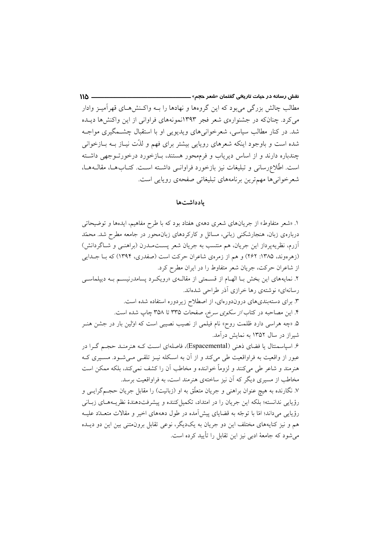مطالب چالش بزرگی می بود که این گروهها و نهادها را بــه واکــنش۵هــای قهرآمیــز وادار می کرد. چنانکه در جشنوارهی شعر فجر ۱۳۹۳نمونههای فراوانی از این واکنشها دیـده شد. در کنار مطالب سیاسی، شعرخوانیهای ویدیویی او با استقبال چشـمگیری مواجـه شده است و باوجود اینکه شعرهای روپایی بیشتر برای فهم و لذّت نیـاز بــه بــازخوانی چندباره دارند و از اساس دیریاب و فرمهحور هستند، بـازخورد درخورتــوجهی داشــته است. اطِّلاعِرسانی و تبلیغات نیز بازخورد فراوانـی داشـته اسـت. کتـابهـا، مقالـههـا، شعرخوانی ها مهمترین برنامههای تبلیغاتی صفحهی رویایی است.

 $M\Delta$  —

#### بادداشتها

۱. «شعر متفاوط» از جریانهای شعری دههی هفتاد بود که با طرح مفاهیم، ایدهها و توضیحاتی دربارهی زبان، هنجارشکنی زبانی، مسائل و کارکردهای زبانهحور در جامعه مطرح شد. محمّد آزرم، نظریهپرداز این جریان، هم منتسب به جریان شعر پست مـدرن (براهنـی و شـاگردانش) (زهرهوند، ۱۳۸۵: ۲۶۲) و هم از زمرهي شاعران حركت است (صفدري، ۱۳۹۴) كه بـا جــدايي از شاعران حرکت، جریان شعر متفاوط را در ایران مطرح کرد. ۲. نمایههای این بخش بـا الهـام از قسـمتی از مقالـهی «رویکـرد پسامدرنیسـم بـه دیپلماسـی رسانهای» نوشتهی رها خرازی آذر طراحی شدهاند. ۳. برای دستهبندیهای دروندورهای، از اصطلاح زیردوره استفاده شده است. ۴. این مصاحبه در کتاب *از سکوی سرخ، صفحات* ۳۳۵ تا ۳۵۸ چاپ شده است. ۵ «چه هراسی دارد ظلمت روح» نام فیلمی از نصیب نصیبی است که اوّلین بار در جشن هنـر شیر از در سال ۱۳۵۲ به نمایش درآمد. ۶. اسپاسمنتال یا فضای ذهنی (Espacemental)، فاصلهای است کـه هنرمنـد حجـم گـرا در عبور از واقعیت به فراواقعیت طی میکند و از آن به اسکله نیــز تلقــی مــیشــود. مســیری کــه هنرمند و شاعر طی میکنند و لزوماً خواننده و مخاطب آن را کشف نمی کند، بلکه ممکن است مخاطب از مسیری دیگر که آن نیز ساختهی هنرمند است، به فراواقعیت برسد. ۷. نگارنده به هیچ عنوان براهنی و جریان متعلّق به او (زبانیت) را مقابل جریان حجـمگرایـی و رؤيايي ندانسته؛ بلكه اين جريان را در امتداد، تكميل كننده و پيشرفتدهندهٔ نظريـههـاي زبـاني رؤیایی میداند؛ امّا با توجّه به قضایای پیش آمده در طول دهههای اخیر و مقالات متعـدد علیـه هم و نیز کنایههای مختلف این دو جریان به یکدیگر، نوعی تقابل برونهتنی بین این دو دیــده می شود که جامعهٔ ادبی نیز این تقابل را تأیید کرده است.